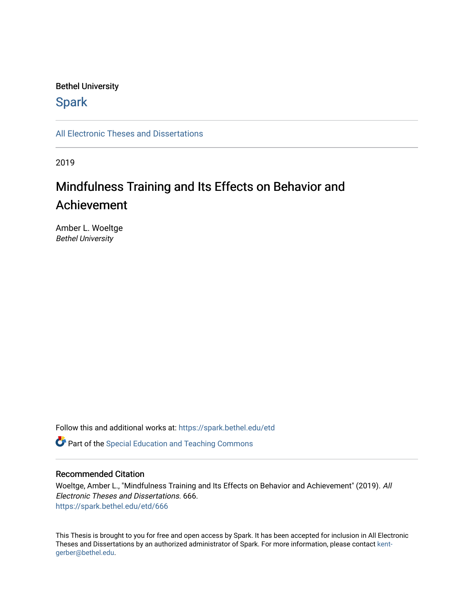### Bethel University

## **Spark**

[All Electronic Theses and Dissertations](https://spark.bethel.edu/etd) 

2019

# Mindfulness Training and Its Effects on Behavior and Achievement

Amber L. Woeltge Bethel University

Follow this and additional works at: [https://spark.bethel.edu/etd](https://spark.bethel.edu/etd?utm_source=spark.bethel.edu%2Fetd%2F666&utm_medium=PDF&utm_campaign=PDFCoverPages)

**C** Part of the Special Education and Teaching Commons

### Recommended Citation

Woeltge, Amber L., "Mindfulness Training and Its Effects on Behavior and Achievement" (2019). All Electronic Theses and Dissertations. 666. [https://spark.bethel.edu/etd/666](https://spark.bethel.edu/etd/666?utm_source=spark.bethel.edu%2Fetd%2F666&utm_medium=PDF&utm_campaign=PDFCoverPages)

This Thesis is brought to you for free and open access by Spark. It has been accepted for inclusion in All Electronic Theses and Dissertations by an authorized administrator of Spark. For more information, please contact [kent](mailto:kent-gerber@bethel.edu)[gerber@bethel.edu.](mailto:kent-gerber@bethel.edu)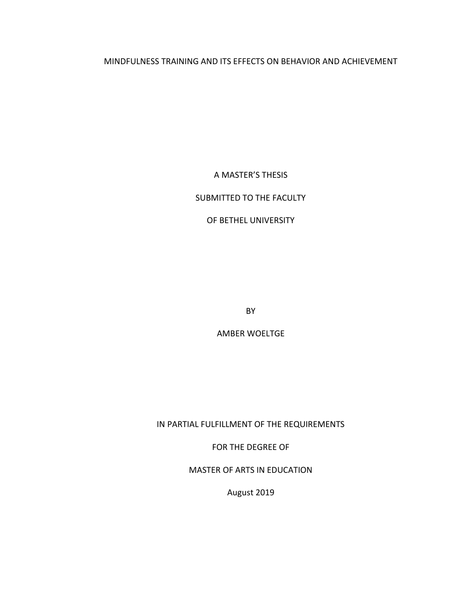### MINDFULNESS TRAINING AND ITS EFFECTS ON BEHAVIOR AND ACHIEVEMENT

A MASTER'S THESIS

### SUBMITTED TO THE FACULTY

### OF BETHEL UNIVERSITY

BY

AMBER WOELTGE

IN PARTIAL FULFILLMENT OF THE REQUIREMENTS

FOR THE DEGREE OF

MASTER OF ARTS IN EDUCATION

August 2019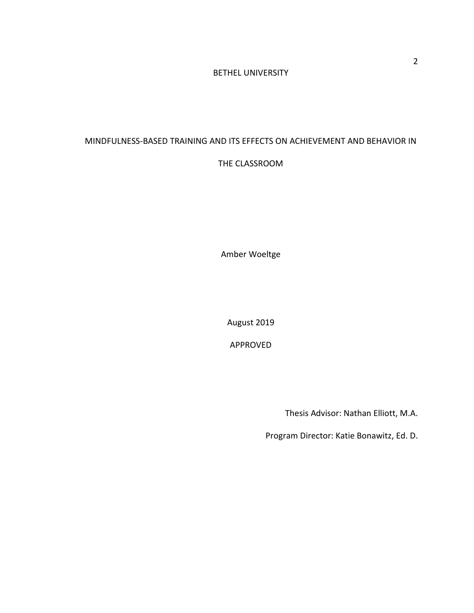### BETHEL UNIVERSITY

# MINDFULNESS-BASED TRAINING AND ITS EFFECTS ON ACHIEVEMENT AND BEHAVIOR IN

### THE CLASSROOM

Amber Woeltge

August 2019

APPROVED

Thesis Advisor: Nathan Elliott, M.A.

Program Director: Katie Bonawitz, Ed. D.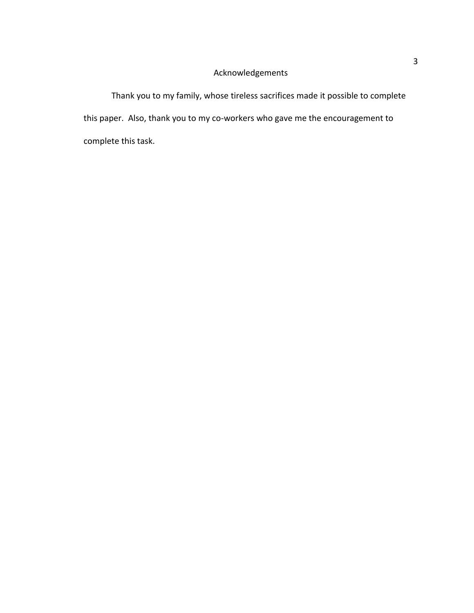### Acknowledgements

Thank you to my family, whose tireless sacrifices made it possible to complete this paper. Also, thank you to my co-workers who gave me the encouragement to complete this task.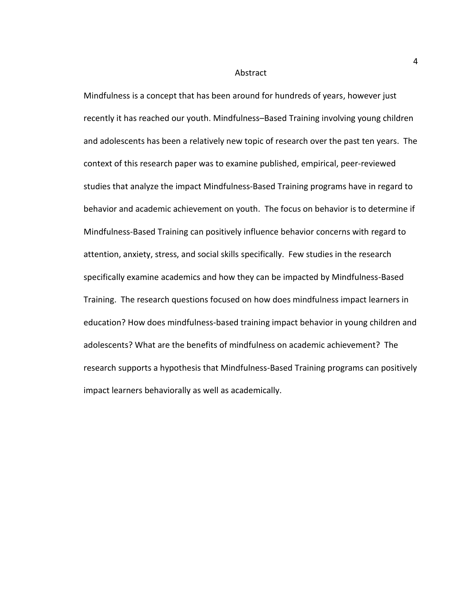#### Abstract

Mindfulness is a concept that has been around for hundreds of years, however just recently it has reached our youth. Mindfulness–Based Training involving young children and adolescents has been a relatively new topic of research over the past ten years. The context of this research paper was to examine published, empirical, peer-reviewed studies that analyze the impact Mindfulness-Based Training programs have in regard to behavior and academic achievement on youth. The focus on behavior is to determine if Mindfulness-Based Training can positively influence behavior concerns with regard to attention, anxiety, stress, and social skills specifically. Few studies in the research specifically examine academics and how they can be impacted by Mindfulness-Based Training. The research questions focused on how does mindfulness impact learners in education? How does mindfulness-based training impact behavior in young children and adolescents? What are the benefits of mindfulness on academic achievement? The research supports a hypothesis that Mindfulness-Based Training programs can positively impact learners behaviorally as well as academically.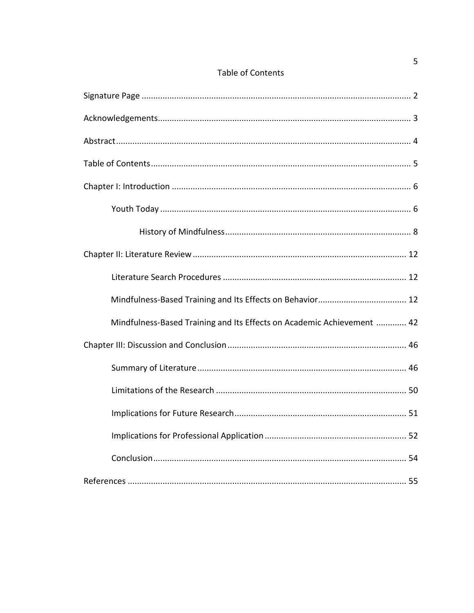| <b>Table of Contents</b> |  |  |
|--------------------------|--|--|
|                          |  |  |

| Mindfulness-Based Training and Its Effects on Academic Achievement  42 |
|------------------------------------------------------------------------|
|                                                                        |
|                                                                        |
|                                                                        |
|                                                                        |
|                                                                        |
|                                                                        |
|                                                                        |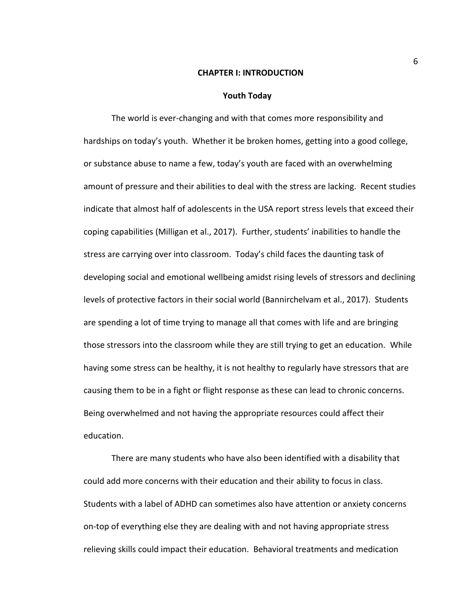#### **CHAPTER I: INTRODUCTION**

#### **Youth Today**

The world is ever-changing and with that comes more responsibility and hardships on today's youth. Whether it be broken homes, getting into a good college, or substance abuse to name a few, today's youth are faced with an overwhelming amount of pressure and their abilities to deal with the stress are lacking. Recent studies indicate that almost half of adolescents in the USA report stress levels that exceed their coping capabilities (Milligan et al., 2017). Further, students' inabilities to handle the stress are carrying over into classroom. Today's child faces the daunting task of developing social and emotional wellbeing amidst rising levels of stressors and declining levels of protective factors in their social world (Bannirchelvam et al., 2017). Students are spending a lot of time trying to manage all that comes with life and are bringing those stressors into the classroom while they are still trying to get an education. While having some stress can be healthy, it is not healthy to regularly have stressors that are causing them to be in a fight or flight response as these can lead to chronic concerns. Being overwhelmed and not having the appropriate resources could affect their education.

There are many students who have also been identified with a disability that could add more concerns with their education and their ability to focus in class. Students with a label of ADHD can sometimes also have attention or anxiety concerns on-top of everything else they are dealing with and not having appropriate stress relieving skills could impact their education. Behavioral treatments and medication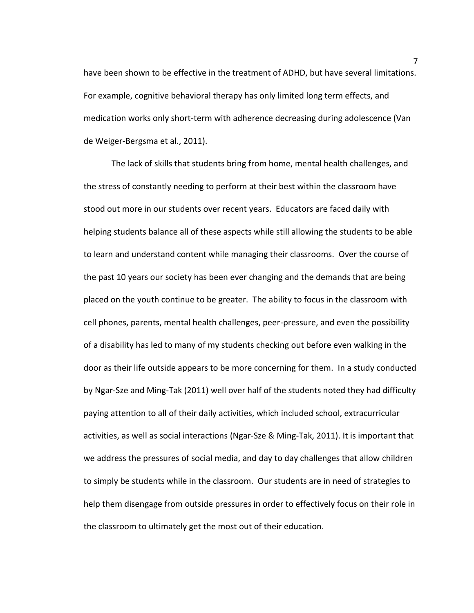have been shown to be effective in the treatment of ADHD, but have several limitations. For example, cognitive behavioral therapy has only limited long term effects, and medication works only short-term with adherence decreasing during adolescence (Van de Weiger-Bergsma et al., 2011).

The lack of skills that students bring from home, mental health challenges, and the stress of constantly needing to perform at their best within the classroom have stood out more in our students over recent years. Educators are faced daily with helping students balance all of these aspects while still allowing the students to be able to learn and understand content while managing their classrooms. Over the course of the past 10 years our society has been ever changing and the demands that are being placed on the youth continue to be greater. The ability to focus in the classroom with cell phones, parents, mental health challenges, peer-pressure, and even the possibility of a disability has led to many of my students checking out before even walking in the door as their life outside appears to be more concerning for them. In a study conducted by Ngar-Sze and Ming-Tak (2011) well over half of the students noted they had difficulty paying attention to all of their daily activities, which included school, extracurricular activities, as well as social interactions (Ngar-Sze & Ming-Tak, 2011). It is important that we address the pressures of social media, and day to day challenges that allow children to simply be students while in the classroom. Our students are in need of strategies to help them disengage from outside pressures in order to effectively focus on their role in the classroom to ultimately get the most out of their education.

7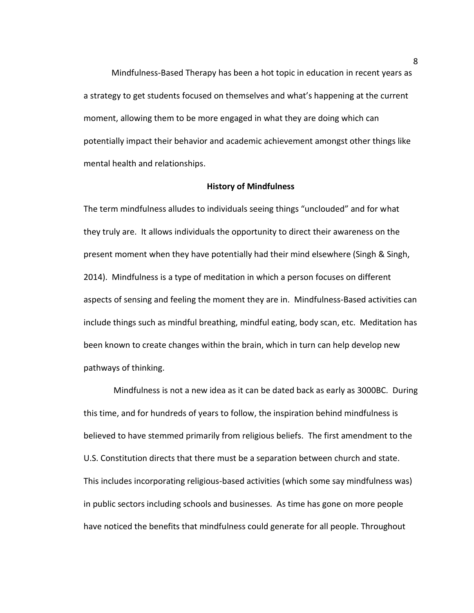Mindfulness-Based Therapy has been a hot topic in education in recent years as a strategy to get students focused on themselves and what's happening at the current moment, allowing them to be more engaged in what they are doing which can potentially impact their behavior and academic achievement amongst other things like mental health and relationships.

#### **History of Mindfulness**

The term mindfulness alludes to individuals seeing things "unclouded" and for what they truly are. It allows individuals the opportunity to direct their awareness on the present moment when they have potentially had their mind elsewhere (Singh & Singh, 2014). Mindfulness is a type of meditation in which a person focuses on different aspects of sensing and feeling the moment they are in. Mindfulness-Based activities can include things such as mindful breathing, mindful eating, body scan, etc. Meditation has been known to create changes within the brain, which in turn can help develop new pathways of thinking.

 Mindfulness is not a new idea as it can be dated back as early as 3000BC. During this time, and for hundreds of years to follow, the inspiration behind mindfulness is believed to have stemmed primarily from religious beliefs. The first amendment to the U.S. Constitution directs that there must be a separation between church and state. This includes incorporating religious-based activities (which some say mindfulness was) in public sectors including schools and businesses. As time has gone on more people have noticed the benefits that mindfulness could generate for all people. Throughout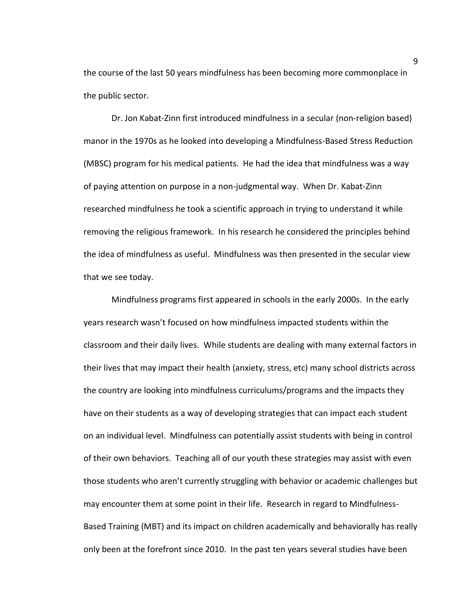the course of the last 50 years mindfulness has been becoming more commonplace in the public sector.

Dr. Jon Kabat-Zinn first introduced mindfulness in a secular (non-religion based) manor in the 1970s as he looked into developing a Mindfulness-Based Stress Reduction (MBSC) program for his medical patients. He had the idea that mindfulness was a way of paying attention on purpose in a non-judgmental way. When Dr. Kabat-Zinn researched mindfulness he took a scientific approach in trying to understand it while removing the religious framework. In his research he considered the principles behind the idea of mindfulness as useful. Mindfulness was then presented in the secular view that we see today.

Mindfulness programs first appeared in schools in the early 2000s. In the early years research wasn't focused on how mindfulness impacted students within the classroom and their daily lives. While students are dealing with many external factors in their lives that may impact their health (anxiety, stress, etc) many school districts across the country are looking into mindfulness curriculums/programs and the impacts they have on their students as a way of developing strategies that can impact each student on an individual level. Mindfulness can potentially assist students with being in control of their own behaviors. Teaching all of our youth these strategies may assist with even those students who aren't currently struggling with behavior or academic challenges but may encounter them at some point in their life. Research in regard to Mindfulness-Based Training (MBT) and its impact on children academically and behaviorally has really only been at the forefront since 2010. In the past ten years several studies have been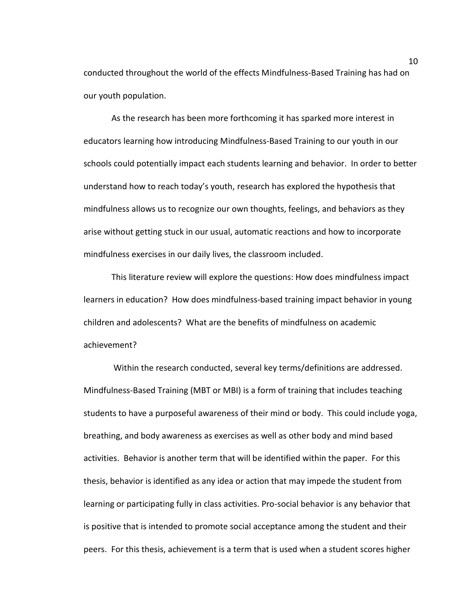conducted throughout the world of the effects Mindfulness-Based Training has had on our youth population.

As the research has been more forthcoming it has sparked more interest in educators learning how introducing Mindfulness-Based Training to our youth in our schools could potentially impact each students learning and behavior. In order to better understand how to reach today's youth, research has explored the hypothesis that mindfulness allows us to recognize our own thoughts, feelings, and behaviors as they arise without getting stuck in our usual, automatic reactions and how to incorporate mindfulness exercises in our daily lives, the classroom included.

This literature review will explore the questions: How does mindfulness impact learners in education? How does mindfulness-based training impact behavior in young children and adolescents? What are the benefits of mindfulness on academic achievement?

 Within the research conducted, several key terms/definitions are addressed. Mindfulness-Based Training (MBT or MBI) is a form of training that includes teaching students to have a purposeful awareness of their mind or body. This could include yoga, breathing, and body awareness as exercises as well as other body and mind based activities. Behavior is another term that will be identified within the paper. For this thesis, behavior is identified as any idea or action that may impede the student from learning or participating fully in class activities. Pro-social behavior is any behavior that is positive that is intended to promote social acceptance among the student and their peers. For this thesis, achievement is a term that is used when a student scores higher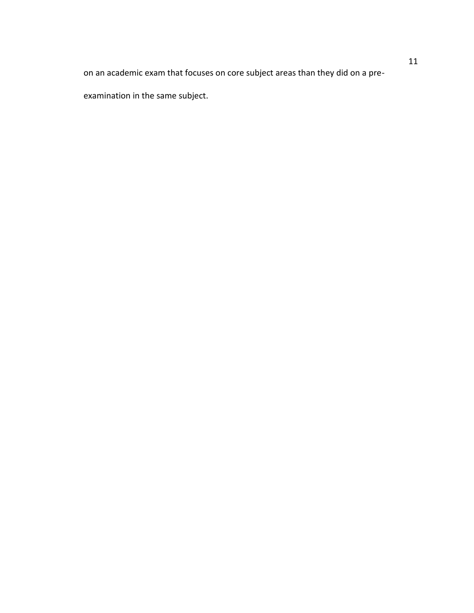on an academic exam that focuses on core subject areas than they did on a pre-

examination in the same subject.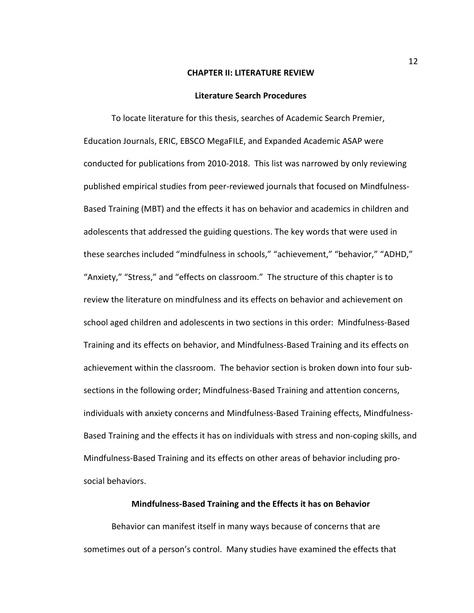#### **CHAPTER II: LITERATURE REVIEW**

#### **Literature Search Procedures**

To locate literature for this thesis, searches of Academic Search Premier, Education Journals, ERIC, EBSCO MegaFILE, and Expanded Academic ASAP were conducted for publications from 2010-2018. This list was narrowed by only reviewing published empirical studies from peer-reviewed journals that focused on Mindfulness-Based Training (MBT) and the effects it has on behavior and academics in children and adolescents that addressed the guiding questions. The key words that were used in these searches included "mindfulness in schools," "achievement," "behavior," "ADHD," "Anxiety," "Stress," and "effects on classroom." The structure of this chapter is to review the literature on mindfulness and its effects on behavior and achievement on school aged children and adolescents in two sections in this order: Mindfulness-Based Training and its effects on behavior, and Mindfulness-Based Training and its effects on achievement within the classroom. The behavior section is broken down into four subsections in the following order; Mindfulness-Based Training and attention concerns, individuals with anxiety concerns and Mindfulness-Based Training effects, Mindfulness-Based Training and the effects it has on individuals with stress and non-coping skills, and Mindfulness-Based Training and its effects on other areas of behavior including prosocial behaviors.

### **Mindfulness-Based Training and the Effects it has on Behavior**

Behavior can manifest itself in many ways because of concerns that are sometimes out of a person's control. Many studies have examined the effects that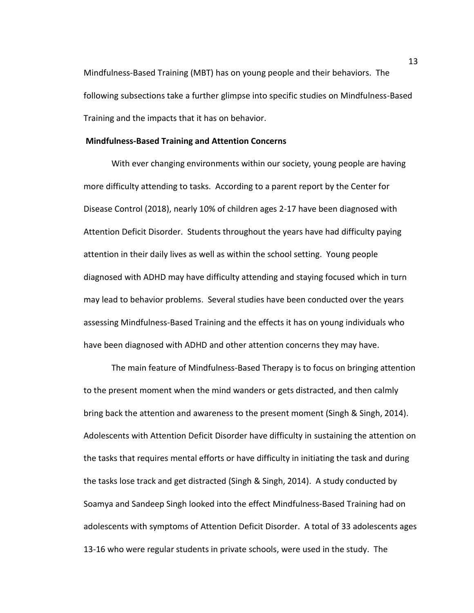Mindfulness-Based Training (MBT) has on young people and their behaviors. The following subsections take a further glimpse into specific studies on Mindfulness-Based Training and the impacts that it has on behavior.

#### **Mindfulness-Based Training and Attention Concerns**

 With ever changing environments within our society, young people are having more difficulty attending to tasks. According to a parent report by the Center for Disease Control (2018), nearly 10% of children ages 2-17 have been diagnosed with Attention Deficit Disorder. Students throughout the years have had difficulty paying attention in their daily lives as well as within the school setting. Young people diagnosed with ADHD may have difficulty attending and staying focused which in turn may lead to behavior problems. Several studies have been conducted over the years assessing Mindfulness-Based Training and the effects it has on young individuals who have been diagnosed with ADHD and other attention concerns they may have.

The main feature of Mindfulness-Based Therapy is to focus on bringing attention to the present moment when the mind wanders or gets distracted, and then calmly bring back the attention and awareness to the present moment (Singh & Singh, 2014). Adolescents with Attention Deficit Disorder have difficulty in sustaining the attention on the tasks that requires mental efforts or have difficulty in initiating the task and during the tasks lose track and get distracted (Singh & Singh, 2014). A study conducted by Soamya and Sandeep Singh looked into the effect Mindfulness-Based Training had on adolescents with symptoms of Attention Deficit Disorder. A total of 33 adolescents ages 13-16 who were regular students in private schools, were used in the study. The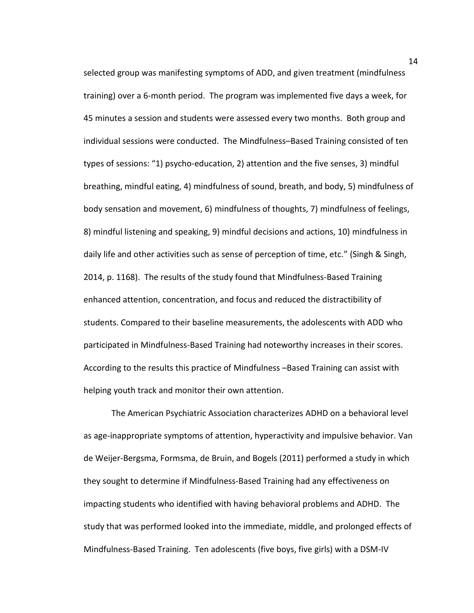selected group was manifesting symptoms of ADD, and given treatment (mindfulness training) over a 6-month period. The program was implemented five days a week, for 45 minutes a session and students were assessed every two months. Both group and individual sessions were conducted. The Mindfulness–Based Training consisted of ten types of sessions: "1) psycho-education, 2) attention and the five senses, 3) mindful breathing, mindful eating, 4) mindfulness of sound, breath, and body, 5) mindfulness of body sensation and movement, 6) mindfulness of thoughts, 7) mindfulness of feelings, 8) mindful listening and speaking, 9) mindful decisions and actions, 10) mindfulness in daily life and other activities such as sense of perception of time, etc." (Singh & Singh, 2014, p. 1168). The results of the study found that Mindfulness-Based Training enhanced attention, concentration, and focus and reduced the distractibility of students. Compared to their baseline measurements, the adolescents with ADD who participated in Mindfulness-Based Training had noteworthy increases in their scores. According to the results this practice of Mindfulness –Based Training can assist with helping youth track and monitor their own attention.

The American Psychiatric Association characterizes ADHD on a behavioral level as age-inappropriate symptoms of attention, hyperactivity and impulsive behavior. Van de Weijer-Bergsma, Formsma, de Bruin, and Bogels (2011) performed a study in which they sought to determine if Mindfulness-Based Training had any effectiveness on impacting students who identified with having behavioral problems and ADHD. The study that was performed looked into the immediate, middle, and prolonged effects of Mindfulness-Based Training. Ten adolescents (five boys, five girls) with a DSM-IV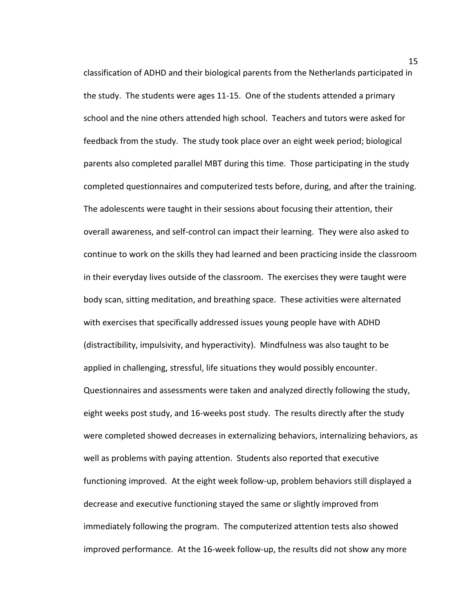classification of ADHD and their biological parents from the Netherlands participated in the study. The students were ages 11-15. One of the students attended a primary school and the nine others attended high school. Teachers and tutors were asked for feedback from the study. The study took place over an eight week period; biological parents also completed parallel MBT during this time. Those participating in the study completed questionnaires and computerized tests before, during, and after the training. The adolescents were taught in their sessions about focusing their attention, their overall awareness, and self-control can impact their learning. They were also asked to continue to work on the skills they had learned and been practicing inside the classroom in their everyday lives outside of the classroom. The exercises they were taught were body scan, sitting meditation, and breathing space. These activities were alternated with exercises that specifically addressed issues young people have with ADHD (distractibility, impulsivity, and hyperactivity). Mindfulness was also taught to be applied in challenging, stressful, life situations they would possibly encounter. Questionnaires and assessments were taken and analyzed directly following the study, eight weeks post study, and 16-weeks post study. The results directly after the study were completed showed decreases in externalizing behaviors, internalizing behaviors, as well as problems with paying attention. Students also reported that executive functioning improved. At the eight week follow-up, problem behaviors still displayed a decrease and executive functioning stayed the same or slightly improved from immediately following the program. The computerized attention tests also showed improved performance. At the 16-week follow-up, the results did not show any more

15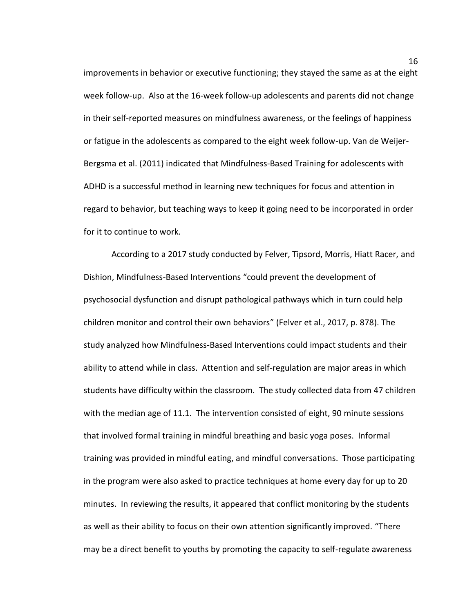improvements in behavior or executive functioning; they stayed the same as at the eight week follow-up. Also at the 16-week follow-up adolescents and parents did not change in their self-reported measures on mindfulness awareness, or the feelings of happiness or fatigue in the adolescents as compared to the eight week follow-up. Van de Weijer-Bergsma et al. (2011) indicated that Mindfulness-Based Training for adolescents with ADHD is a successful method in learning new techniques for focus and attention in regard to behavior, but teaching ways to keep it going need to be incorporated in order for it to continue to work.

According to a 2017 study conducted by Felver, Tipsord, Morris, Hiatt Racer, and Dishion, Mindfulness-Based Interventions "could prevent the development of psychosocial dysfunction and disrupt pathological pathways which in turn could help children monitor and control their own behaviors" (Felver et al., 2017, p. 878). The study analyzed how Mindfulness-Based Interventions could impact students and their ability to attend while in class. Attention and self-regulation are major areas in which students have difficulty within the classroom. The study collected data from 47 children with the median age of 11.1. The intervention consisted of eight, 90 minute sessions that involved formal training in mindful breathing and basic yoga poses. Informal training was provided in mindful eating, and mindful conversations. Those participating in the program were also asked to practice techniques at home every day for up to 20 minutes. In reviewing the results, it appeared that conflict monitoring by the students as well as their ability to focus on their own attention significantly improved. "There may be a direct benefit to youths by promoting the capacity to self-regulate awareness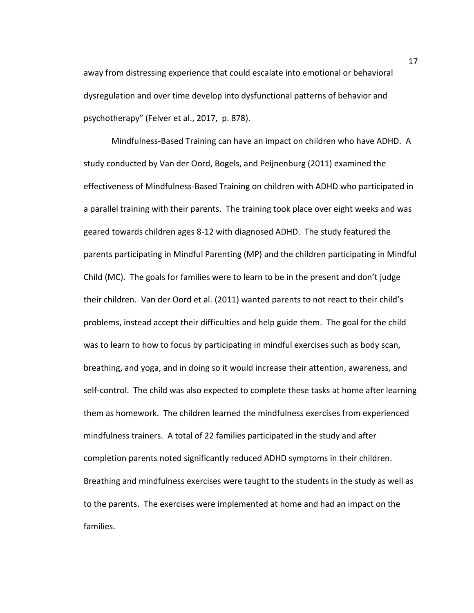away from distressing experience that could escalate into emotional or behavioral dysregulation and over time develop into dysfunctional patterns of behavior and psychotherapy" (Felver et al., 2017, p. 878).

Mindfulness-Based Training can have an impact on children who have ADHD. A study conducted by Van der Oord, Bogels, and Peijnenburg (2011) examined the effectiveness of Mindfulness-Based Training on children with ADHD who participated in a parallel training with their parents. The training took place over eight weeks and was geared towards children ages 8-12 with diagnosed ADHD. The study featured the parents participating in Mindful Parenting (MP) and the children participating in Mindful Child (MC). The goals for families were to learn to be in the present and don't judge their children. Van der Oord et al. (2011) wanted parents to not react to their child's problems, instead accept their difficulties and help guide them. The goal for the child was to learn to how to focus by participating in mindful exercises such as body scan, breathing, and yoga, and in doing so it would increase their attention, awareness, and self-control. The child was also expected to complete these tasks at home after learning them as homework. The children learned the mindfulness exercises from experienced mindfulness trainers. A total of 22 families participated in the study and after completion parents noted significantly reduced ADHD symptoms in their children. Breathing and mindfulness exercises were taught to the students in the study as well as to the parents. The exercises were implemented at home and had an impact on the families.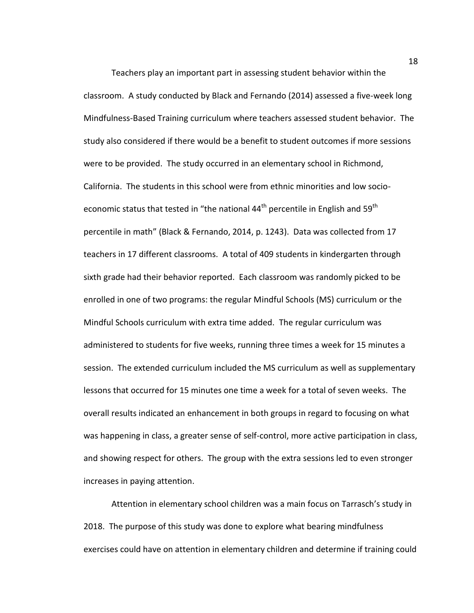Teachers play an important part in assessing student behavior within the classroom. A study conducted by Black and Fernando (2014) assessed a five-week long Mindfulness-Based Training curriculum where teachers assessed student behavior. The study also considered if there would be a benefit to student outcomes if more sessions were to be provided. The study occurred in an elementary school in Richmond, California. The students in this school were from ethnic minorities and low socioeconomic status that tested in "the national  $44<sup>th</sup>$  percentile in English and 59<sup>th</sup> percentile in math" (Black & Fernando, 2014, p. 1243). Data was collected from 17 teachers in 17 different classrooms. A total of 409 students in kindergarten through sixth grade had their behavior reported. Each classroom was randomly picked to be enrolled in one of two programs: the regular Mindful Schools (MS) curriculum or the Mindful Schools curriculum with extra time added. The regular curriculum was administered to students for five weeks, running three times a week for 15 minutes a session. The extended curriculum included the MS curriculum as well as supplementary lessons that occurred for 15 minutes one time a week for a total of seven weeks. The overall results indicated an enhancement in both groups in regard to focusing on what was happening in class, a greater sense of self-control, more active participation in class, and showing respect for others. The group with the extra sessions led to even stronger increases in paying attention.

Attention in elementary school children was a main focus on Tarrasch's study in 2018. The purpose of this study was done to explore what bearing mindfulness exercises could have on attention in elementary children and determine if training could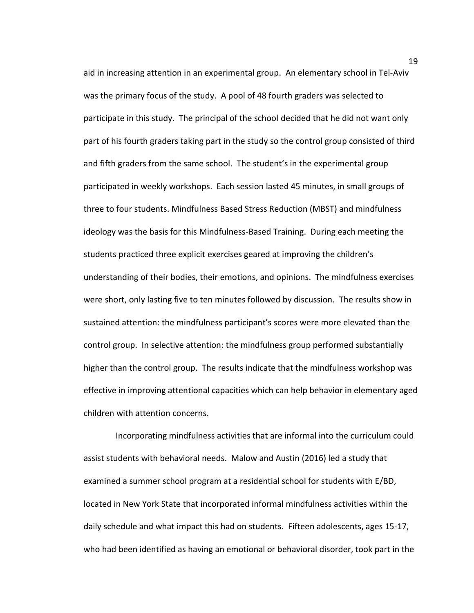aid in increasing attention in an experimental group. An elementary school in Tel-Aviv was the primary focus of the study. A pool of 48 fourth graders was selected to participate in this study. The principal of the school decided that he did not want only part of his fourth graders taking part in the study so the control group consisted of third and fifth graders from the same school. The student's in the experimental group participated in weekly workshops. Each session lasted 45 minutes, in small groups of three to four students. Mindfulness Based Stress Reduction (MBST) and mindfulness ideology was the basis for this Mindfulness-Based Training. During each meeting the students practiced three explicit exercises geared at improving the children's understanding of their bodies, their emotions, and opinions. The mindfulness exercises were short, only lasting five to ten minutes followed by discussion. The results show in sustained attention: the mindfulness participant's scores were more elevated than the control group. In selective attention: the mindfulness group performed substantially higher than the control group. The results indicate that the mindfulness workshop was effective in improving attentional capacities which can help behavior in elementary aged children with attention concerns.

 Incorporating mindfulness activities that are informal into the curriculum could assist students with behavioral needs. Malow and Austin (2016) led a study that examined a summer school program at a residential school for students with E/BD, located in New York State that incorporated informal mindfulness activities within the daily schedule and what impact this had on students. Fifteen adolescents, ages 15-17, who had been identified as having an emotional or behavioral disorder, took part in the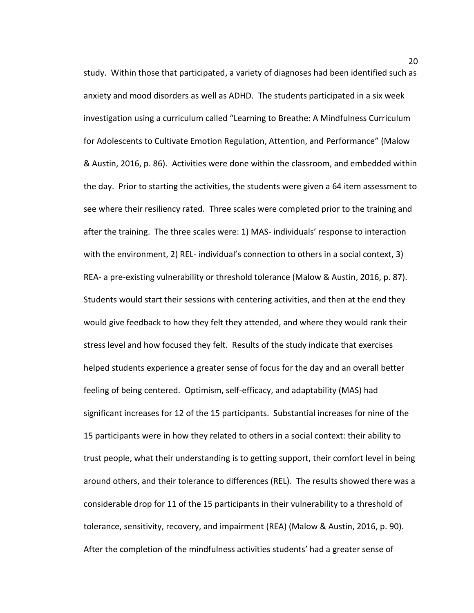study. Within those that participated, a variety of diagnoses had been identified such as anxiety and mood disorders as well as ADHD. The students participated in a six week investigation using a curriculum called "Learning to Breathe: A Mindfulness Curriculum for Adolescents to Cultivate Emotion Regulation, Attention, and Performance" (Malow & Austin, 2016, p. 86). Activities were done within the classroom, and embedded within the day. Prior to starting the activities, the students were given a 64 item assessment to see where their resiliency rated. Three scales were completed prior to the training and after the training. The three scales were: 1) MAS- individuals' response to interaction with the environment, 2) REL- individual's connection to others in a social context, 3) REA- a pre-existing vulnerability or threshold tolerance (Malow & Austin, 2016, p. 87). Students would start their sessions with centering activities, and then at the end they would give feedback to how they felt they attended, and where they would rank their stress level and how focused they felt. Results of the study indicate that exercises helped students experience a greater sense of focus for the day and an overall better feeling of being centered. Optimism, self-efficacy, and adaptability (MAS) had significant increases for 12 of the 15 participants. Substantial increases for nine of the 15 participants were in how they related to others in a social context: their ability to trust people, what their understanding is to getting support, their comfort level in being around others, and their tolerance to differences (REL). The results showed there was a considerable drop for 11 of the 15 participants in their vulnerability to a threshold of tolerance, sensitivity, recovery, and impairment (REA) (Malow & Austin, 2016, p. 90). After the completion of the mindfulness activities students' had a greater sense of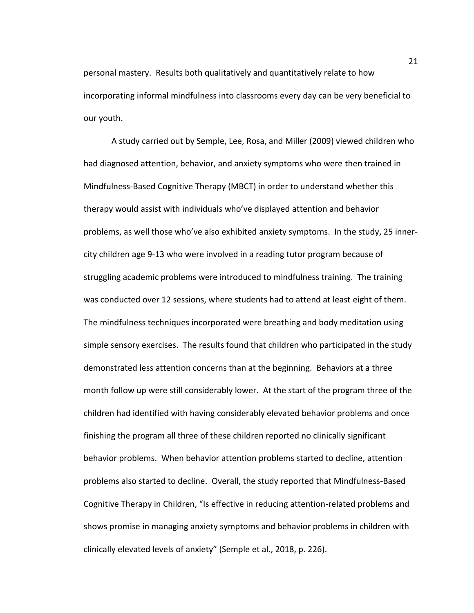personal mastery. Results both qualitatively and quantitatively relate to how incorporating informal mindfulness into classrooms every day can be very beneficial to our youth.

A study carried out by Semple, Lee, Rosa, and Miller (2009) viewed children who had diagnosed attention, behavior, and anxiety symptoms who were then trained in Mindfulness-Based Cognitive Therapy (MBCT) in order to understand whether this therapy would assist with individuals who've displayed attention and behavior problems, as well those who've also exhibited anxiety symptoms. In the study, 25 innercity children age 9-13 who were involved in a reading tutor program because of struggling academic problems were introduced to mindfulness training. The training was conducted over 12 sessions, where students had to attend at least eight of them. The mindfulness techniques incorporated were breathing and body meditation using simple sensory exercises. The results found that children who participated in the study demonstrated less attention concerns than at the beginning. Behaviors at a three month follow up were still considerably lower. At the start of the program three of the children had identified with having considerably elevated behavior problems and once finishing the program all three of these children reported no clinically significant behavior problems. When behavior attention problems started to decline, attention problems also started to decline. Overall, the study reported that Mindfulness-Based Cognitive Therapy in Children, "Is effective in reducing attention-related problems and shows promise in managing anxiety symptoms and behavior problems in children with clinically elevated levels of anxiety" (Semple et al., 2018, p. 226).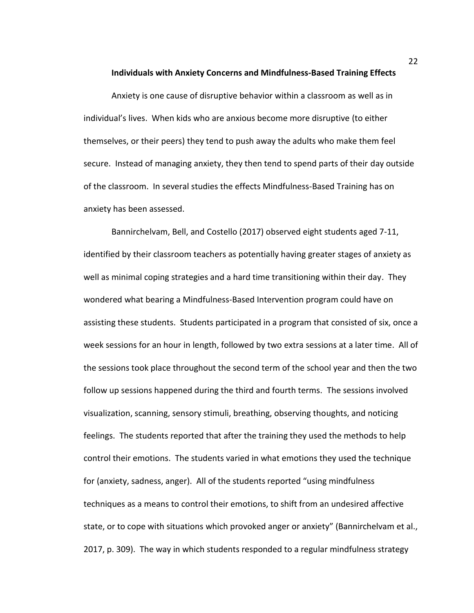**Individuals with Anxiety Concerns and Mindfulness-Based Training Effects** 

Anxiety is one cause of disruptive behavior within a classroom as well as in individual's lives. When kids who are anxious become more disruptive (to either themselves, or their peers) they tend to push away the adults who make them feel secure. Instead of managing anxiety, they then tend to spend parts of their day outside of the classroom. In several studies the effects Mindfulness-Based Training has on anxiety has been assessed.

Bannirchelvam, Bell, and Costello (2017) observed eight students aged 7-11, identified by their classroom teachers as potentially having greater stages of anxiety as well as minimal coping strategies and a hard time transitioning within their day. They wondered what bearing a Mindfulness-Based Intervention program could have on assisting these students. Students participated in a program that consisted of six, once a week sessions for an hour in length, followed by two extra sessions at a later time. All of the sessions took place throughout the second term of the school year and then the two follow up sessions happened during the third and fourth terms. The sessions involved visualization, scanning, sensory stimuli, breathing, observing thoughts, and noticing feelings. The students reported that after the training they used the methods to help control their emotions. The students varied in what emotions they used the technique for (anxiety, sadness, anger). All of the students reported "using mindfulness techniques as a means to control their emotions, to shift from an undesired affective state, or to cope with situations which provoked anger or anxiety" (Bannirchelvam et al., 2017, p. 309). The way in which students responded to a regular mindfulness strategy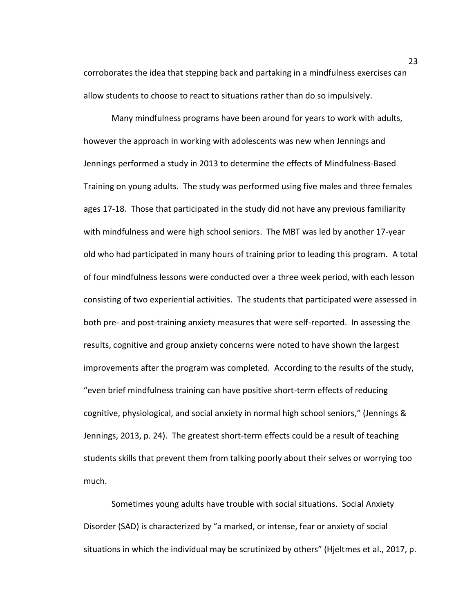corroborates the idea that stepping back and partaking in a mindfulness exercises can allow students to choose to react to situations rather than do so impulsively.

Many mindfulness programs have been around for years to work with adults, however the approach in working with adolescents was new when Jennings and Jennings performed a study in 2013 to determine the effects of Mindfulness-Based Training on young adults. The study was performed using five males and three females ages 17-18. Those that participated in the study did not have any previous familiarity with mindfulness and were high school seniors. The MBT was led by another 17-year old who had participated in many hours of training prior to leading this program. A total of four mindfulness lessons were conducted over a three week period, with each lesson consisting of two experiential activities. The students that participated were assessed in both pre- and post-training anxiety measures that were self-reported. In assessing the results, cognitive and group anxiety concerns were noted to have shown the largest improvements after the program was completed. According to the results of the study, "even brief mindfulness training can have positive short-term effects of reducing cognitive, physiological, and social anxiety in normal high school seniors," (Jennings & Jennings, 2013, p. 24). The greatest short-term effects could be a result of teaching students skills that prevent them from talking poorly about their selves or worrying too much.

Sometimes young adults have trouble with social situations. Social Anxiety Disorder (SAD) is characterized by "a marked, or intense, fear or anxiety of social situations in which the individual may be scrutinized by others" (Hjeltmes et al., 2017, p.

23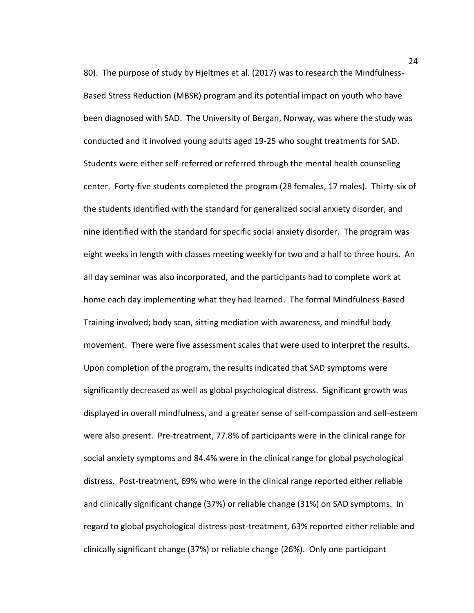80). The purpose of study by Hjeltmes et al. (2017) was to research the Mindfulness-Based Stress Reduction (MBSR) program and its potential impact on youth who have been diagnosed with SAD. The University of Bergan, Norway, was where the study was conducted and it involved young adults aged 19-25 who sought treatments for SAD. Students were either self-referred or referred through the mental health counseling center. Forty-five students completed the program (28 females, 17 males). Thirty-six of the students identified with the standard for generalized social anxiety disorder, and nine identified with the standard for specific social anxiety disorder. The program was eight weeks in length with classes meeting weekly for two and a half to three hours. An all day seminar was also incorporated, and the participants had to complete work at home each day implementing what they had learned. The formal Mindfulness-Based Training involved; body scan, sitting mediation with awareness, and mindful body movement. There were five assessment scales that were used to interpret the results. Upon completion of the program, the results indicated that SAD symptoms were significantly decreased as well as global psychological distress. Significant growth was displayed in overall mindfulness, and a greater sense of self-compassion and self-esteem were also present. Pre-treatment, 77.8% of participants were in the clinical range for social anxiety symptoms and 84.4% were in the clinical range for global psychological distress. Post-treatment, 69% who were in the clinical range reported either reliable and clinically significant change (37%) or reliable change (31%) on SAD symptoms. In regard to global psychological distress post-treatment, 63% reported either reliable and clinically significant change (37%) or reliable change (26%). Only one participant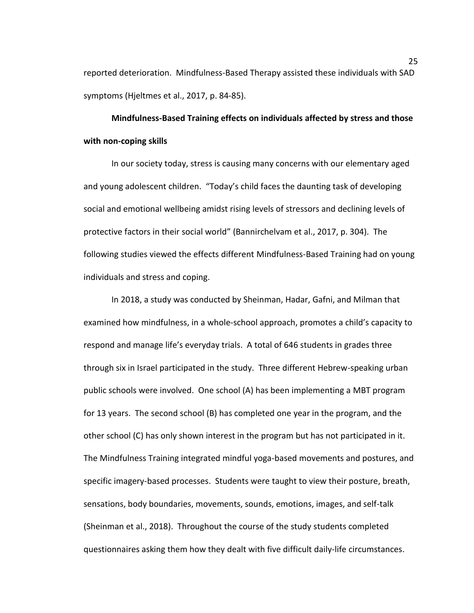reported deterioration. Mindfulness-Based Therapy assisted these individuals with SAD symptoms (Hjeltmes et al., 2017, p. 84-85).

**Mindfulness-Based Training effects on individuals affected by stress and those with non-coping skills** 

In our society today, stress is causing many concerns with our elementary aged and young adolescent children. "Today's child faces the daunting task of developing social and emotional wellbeing amidst rising levels of stressors and declining levels of protective factors in their social world" (Bannirchelvam et al., 2017, p. 304). The following studies viewed the effects different Mindfulness-Based Training had on young individuals and stress and coping.

In 2018, a study was conducted by Sheinman, Hadar, Gafni, and Milman that examined how mindfulness, in a whole-school approach, promotes a child's capacity to respond and manage life's everyday trials. A total of 646 students in grades three through six in Israel participated in the study. Three different Hebrew-speaking urban public schools were involved. One school (A) has been implementing a MBT program for 13 years. The second school (B) has completed one year in the program, and the other school (C) has only shown interest in the program but has not participated in it. The Mindfulness Training integrated mindful yoga-based movements and postures, and specific imagery-based processes. Students were taught to view their posture, breath, sensations, body boundaries, movements, sounds, emotions, images, and self-talk (Sheinman et al., 2018). Throughout the course of the study students completed questionnaires asking them how they dealt with five difficult daily-life circumstances.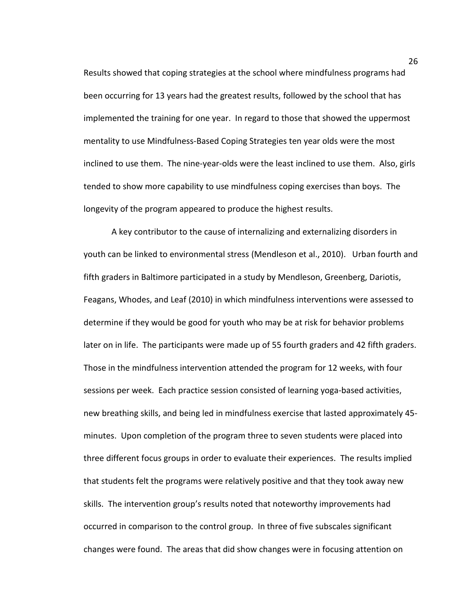Results showed that coping strategies at the school where mindfulness programs had been occurring for 13 years had the greatest results, followed by the school that has implemented the training for one year. In regard to those that showed the uppermost mentality to use Mindfulness-Based Coping Strategies ten year olds were the most inclined to use them. The nine-year-olds were the least inclined to use them. Also, girls tended to show more capability to use mindfulness coping exercises than boys. The longevity of the program appeared to produce the highest results.

A key contributor to the cause of internalizing and externalizing disorders in youth can be linked to environmental stress (Mendleson et al., 2010). Urban fourth and fifth graders in Baltimore participated in a study by Mendleson, Greenberg, Dariotis, Feagans, Whodes, and Leaf (2010) in which mindfulness interventions were assessed to determine if they would be good for youth who may be at risk for behavior problems later on in life. The participants were made up of 55 fourth graders and 42 fifth graders. Those in the mindfulness intervention attended the program for 12 weeks, with four sessions per week. Each practice session consisted of learning yoga-based activities, new breathing skills, and being led in mindfulness exercise that lasted approximately 45 minutes. Upon completion of the program three to seven students were placed into three different focus groups in order to evaluate their experiences. The results implied that students felt the programs were relatively positive and that they took away new skills. The intervention group's results noted that noteworthy improvements had occurred in comparison to the control group. In three of five subscales significant changes were found. The areas that did show changes were in focusing attention on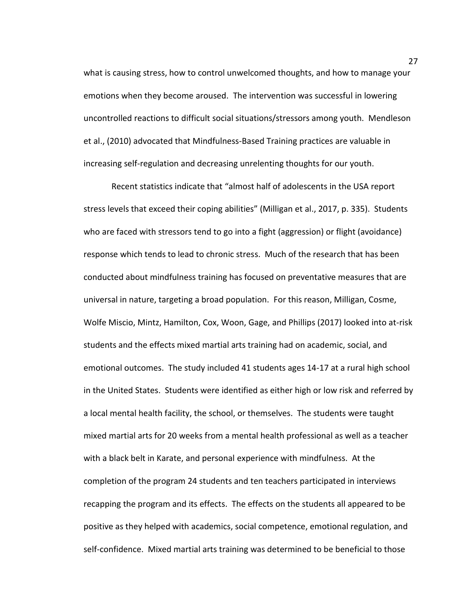what is causing stress, how to control unwelcomed thoughts, and how to manage your emotions when they become aroused. The intervention was successful in lowering uncontrolled reactions to difficult social situations/stressors among youth. Mendleson et al., (2010) advocated that Mindfulness-Based Training practices are valuable in increasing self-regulation and decreasing unrelenting thoughts for our youth.

Recent statistics indicate that "almost half of adolescents in the USA report stress levels that exceed their coping abilities" (Milligan et al., 2017, p. 335). Students who are faced with stressors tend to go into a fight (aggression) or flight (avoidance) response which tends to lead to chronic stress. Much of the research that has been conducted about mindfulness training has focused on preventative measures that are universal in nature, targeting a broad population. For this reason, Milligan, Cosme, Wolfe Miscio, Mintz, Hamilton, Cox, Woon, Gage, and Phillips (2017) looked into at-risk students and the effects mixed martial arts training had on academic, social, and emotional outcomes. The study included 41 students ages 14-17 at a rural high school in the United States. Students were identified as either high or low risk and referred by a local mental health facility, the school, or themselves. The students were taught mixed martial arts for 20 weeks from a mental health professional as well as a teacher with a black belt in Karate, and personal experience with mindfulness. At the completion of the program 24 students and ten teachers participated in interviews recapping the program and its effects. The effects on the students all appeared to be positive as they helped with academics, social competence, emotional regulation, and self-confidence. Mixed martial arts training was determined to be beneficial to those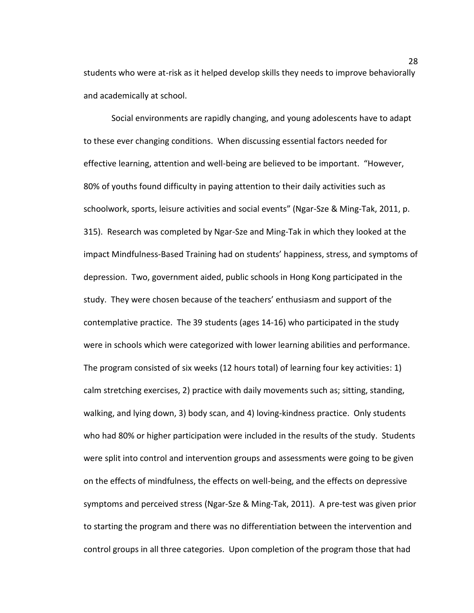students who were at-risk as it helped develop skills they needs to improve behaviorally and academically at school.

Social environments are rapidly changing, and young adolescents have to adapt to these ever changing conditions. When discussing essential factors needed for effective learning, attention and well-being are believed to be important. "However, 80% of youths found difficulty in paying attention to their daily activities such as schoolwork, sports, leisure activities and social events" (Ngar-Sze & Ming-Tak, 2011, p. 315). Research was completed by Ngar-Sze and Ming-Tak in which they looked at the impact Mindfulness-Based Training had on students' happiness, stress, and symptoms of depression. Two, government aided, public schools in Hong Kong participated in the study. They were chosen because of the teachers' enthusiasm and support of the contemplative practice. The 39 students (ages 14-16) who participated in the study were in schools which were categorized with lower learning abilities and performance. The program consisted of six weeks (12 hours total) of learning four key activities: 1) calm stretching exercises, 2) practice with daily movements such as; sitting, standing, walking, and lying down, 3) body scan, and 4) loving-kindness practice. Only students who had 80% or higher participation were included in the results of the study. Students were split into control and intervention groups and assessments were going to be given on the effects of mindfulness, the effects on well-being, and the effects on depressive symptoms and perceived stress (Ngar-Sze & Ming-Tak, 2011). A pre-test was given prior to starting the program and there was no differentiation between the intervention and control groups in all three categories. Upon completion of the program those that had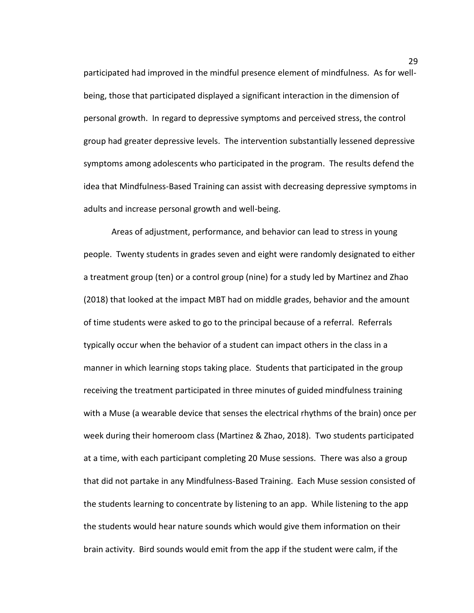participated had improved in the mindful presence element of mindfulness. As for wellbeing, those that participated displayed a significant interaction in the dimension of personal growth. In regard to depressive symptoms and perceived stress, the control group had greater depressive levels. The intervention substantially lessened depressive symptoms among adolescents who participated in the program. The results defend the idea that Mindfulness-Based Training can assist with decreasing depressive symptoms in adults and increase personal growth and well-being.

Areas of adjustment, performance, and behavior can lead to stress in young people. Twenty students in grades seven and eight were randomly designated to either a treatment group (ten) or a control group (nine) for a study led by Martinez and Zhao (2018) that looked at the impact MBT had on middle grades, behavior and the amount of time students were asked to go to the principal because of a referral. Referrals typically occur when the behavior of a student can impact others in the class in a manner in which learning stops taking place. Students that participated in the group receiving the treatment participated in three minutes of guided mindfulness training with a Muse (a wearable device that senses the electrical rhythms of the brain) once per week during their homeroom class (Martinez & Zhao, 2018). Two students participated at a time, with each participant completing 20 Muse sessions. There was also a group that did not partake in any Mindfulness-Based Training. Each Muse session consisted of the students learning to concentrate by listening to an app. While listening to the app the students would hear nature sounds which would give them information on their brain activity. Bird sounds would emit from the app if the student were calm, if the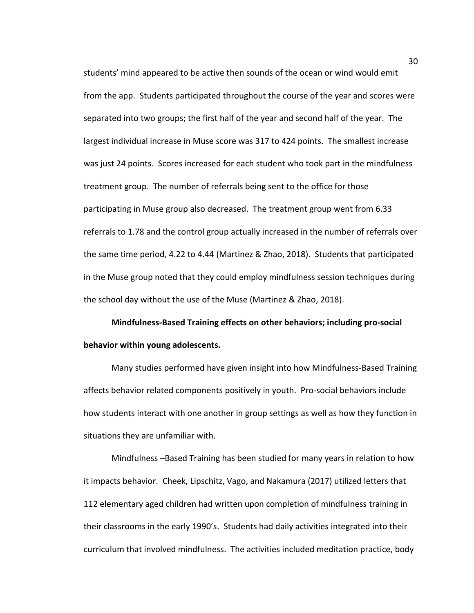students' mind appeared to be active then sounds of the ocean or wind would emit from the app. Students participated throughout the course of the year and scores were separated into two groups; the first half of the year and second half of the year. The largest individual increase in Muse score was 317 to 424 points. The smallest increase was just 24 points. Scores increased for each student who took part in the mindfulness treatment group. The number of referrals being sent to the office for those participating in Muse group also decreased. The treatment group went from 6.33 referrals to 1.78 and the control group actually increased in the number of referrals over the same time period, 4.22 to 4.44 (Martinez & Zhao, 2018). Students that participated in the Muse group noted that they could employ mindfulness session techniques during the school day without the use of the Muse (Martinez & Zhao, 2018).

**Mindfulness-Based Training effects on other behaviors; including pro-social behavior within young adolescents.** 

Many studies performed have given insight into how Mindfulness-Based Training affects behavior related components positively in youth. Pro-social behaviors include how students interact with one another in group settings as well as how they function in situations they are unfamiliar with.

Mindfulness –Based Training has been studied for many years in relation to how it impacts behavior. Cheek, Lipschitz, Vago, and Nakamura (2017) utilized letters that 112 elementary aged children had written upon completion of mindfulness training in their classrooms in the early 1990's. Students had daily activities integrated into their curriculum that involved mindfulness. The activities included meditation practice, body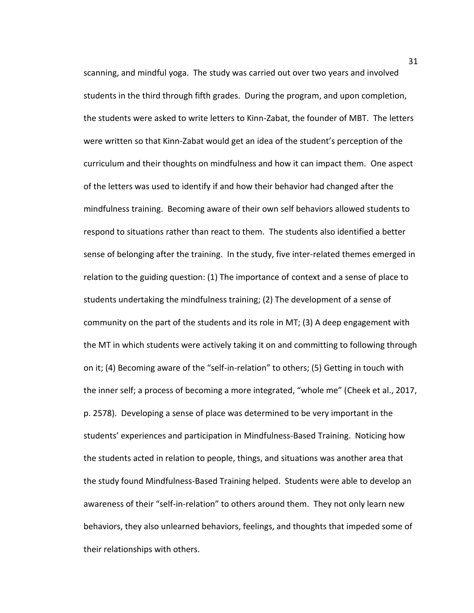scanning, and mindful yoga. The study was carried out over two years and involved students in the third through fifth grades. During the program, and upon completion, the students were asked to write letters to Kinn-Zabat, the founder of MBT. The letters were written so that Kinn-Zabat would get an idea of the student's perception of the curriculum and their thoughts on mindfulness and how it can impact them. One aspect of the letters was used to identify if and how their behavior had changed after the mindfulness training. Becoming aware of their own self behaviors allowed students to respond to situations rather than react to them. The students also identified a better sense of belonging after the training. In the study, five inter-related themes emerged in relation to the guiding question: (1) The importance of context and a sense of place to students undertaking the mindfulness training; (2) The development of a sense of community on the part of the students and its role in MT; (3) A deep engagement with the MT in which students were actively taking it on and committing to following through on it; (4) Becoming aware of the "self-in-relation" to others; (5) Getting in touch with the inner self; a process of becoming a more integrated, "whole me" (Cheek et al., 2017, p. 2578). Developing a sense of place was determined to be very important in the students' experiences and participation in Mindfulness-Based Training. Noticing how the students acted in relation to people, things, and situations was another area that the study found Mindfulness-Based Training helped. Students were able to develop an awareness of their "self-in-relation" to others around them. They not only learn new behaviors, they also unlearned behaviors, feelings, and thoughts that impeded some of their relationships with others.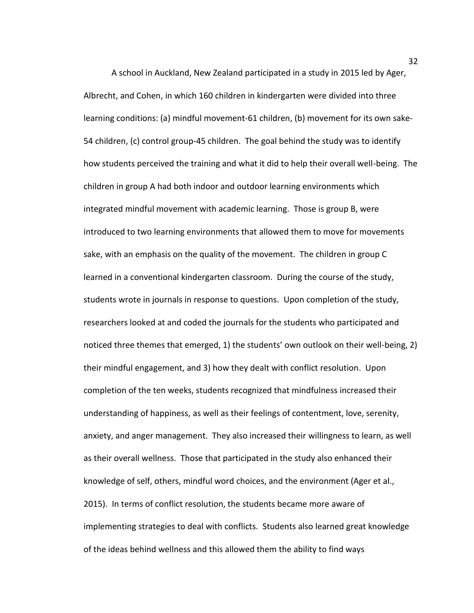A school in Auckland, New Zealand participated in a study in 2015 led by Ager, Albrecht, and Cohen, in which 160 children in kindergarten were divided into three learning conditions: (a) mindful movement-61 children, (b) movement for its own sake-54 children, (c) control group-45 children. The goal behind the study was to identify how students perceived the training and what it did to help their overall well-being. The children in group A had both indoor and outdoor learning environments which integrated mindful movement with academic learning. Those is group B, were introduced to two learning environments that allowed them to move for movements sake, with an emphasis on the quality of the movement. The children in group C learned in a conventional kindergarten classroom. During the course of the study, students wrote in journals in response to questions. Upon completion of the study, researchers looked at and coded the journals for the students who participated and noticed three themes that emerged, 1) the students' own outlook on their well-being, 2) their mindful engagement, and 3) how they dealt with conflict resolution. Upon completion of the ten weeks, students recognized that mindfulness increased their understanding of happiness, as well as their feelings of contentment, love, serenity, anxiety, and anger management. They also increased their willingness to learn, as well as their overall wellness. Those that participated in the study also enhanced their knowledge of self, others, mindful word choices, and the environment (Ager et al., 2015). In terms of conflict resolution, the students became more aware of implementing strategies to deal with conflicts. Students also learned great knowledge of the ideas behind wellness and this allowed them the ability to find ways

32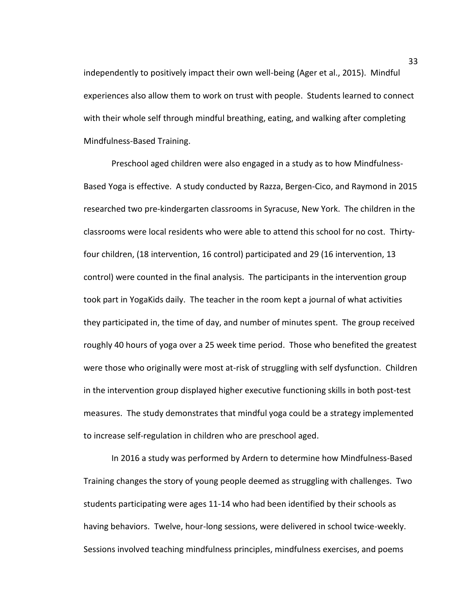independently to positively impact their own well-being (Ager et al., 2015). Mindful experiences also allow them to work on trust with people. Students learned to connect with their whole self through mindful breathing, eating, and walking after completing Mindfulness-Based Training.

 Preschool aged children were also engaged in a study as to how Mindfulness-Based Yoga is effective. A study conducted by Razza, Bergen-Cico, and Raymond in 2015 researched two pre-kindergarten classrooms in Syracuse, New York. The children in the classrooms were local residents who were able to attend this school for no cost. Thirtyfour children, (18 intervention, 16 control) participated and 29 (16 intervention, 13 control) were counted in the final analysis. The participants in the intervention group took part in YogaKids daily. The teacher in the room kept a journal of what activities they participated in, the time of day, and number of minutes spent. The group received roughly 40 hours of yoga over a 25 week time period. Those who benefited the greatest were those who originally were most at-risk of struggling with self dysfunction. Children in the intervention group displayed higher executive functioning skills in both post-test measures. The study demonstrates that mindful yoga could be a strategy implemented to increase self-regulation in children who are preschool aged.

In 2016 a study was performed by Ardern to determine how Mindfulness-Based Training changes the story of young people deemed as struggling with challenges. Two students participating were ages 11-14 who had been identified by their schools as having behaviors. Twelve, hour-long sessions, were delivered in school twice-weekly. Sessions involved teaching mindfulness principles, mindfulness exercises, and poems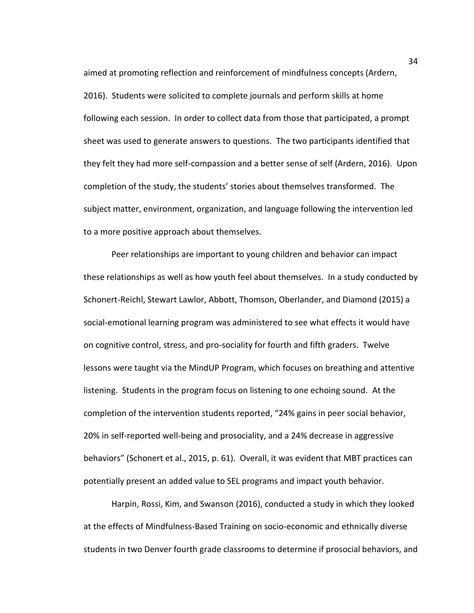aimed at promoting reflection and reinforcement of mindfulness concepts (Ardern, 2016). Students were solicited to complete journals and perform skills at home following each session. In order to collect data from those that participated, a prompt sheet was used to generate answers to questions. The two participants identified that they felt they had more self-compassion and a better sense of self (Ardern, 2016). Upon completion of the study, the students' stories about themselves transformed. The subject matter, environment, organization, and language following the intervention led to a more positive approach about themselves.

Peer relationships are important to young children and behavior can impact these relationships as well as how youth feel about themselves. In a study conducted by Schonert-Reichl, Stewart Lawlor, Abbott, Thomson, Oberlander, and Diamond (2015) a social-emotional learning program was administered to see what effects it would have on cognitive control, stress, and pro-sociality for fourth and fifth graders. Twelve lessons were taught via the MindUP Program, which focuses on breathing and attentive listening. Students in the program focus on listening to one echoing sound. At the completion of the intervention students reported, "24% gains in peer social behavior, 20% in self-reported well-being and prosociality, and a 24% decrease in aggressive behaviors" (Schonert et al., 2015, p. 61). Overall, it was evident that MBT practices can potentially present an added value to SEL programs and impact youth behavior.

Harpin, Rossi, Kim, and Swanson (2016), conducted a study in which they looked at the effects of Mindfulness-Based Training on socio-economic and ethnically diverse students in two Denver fourth grade classrooms to determine if prosocial behaviors, and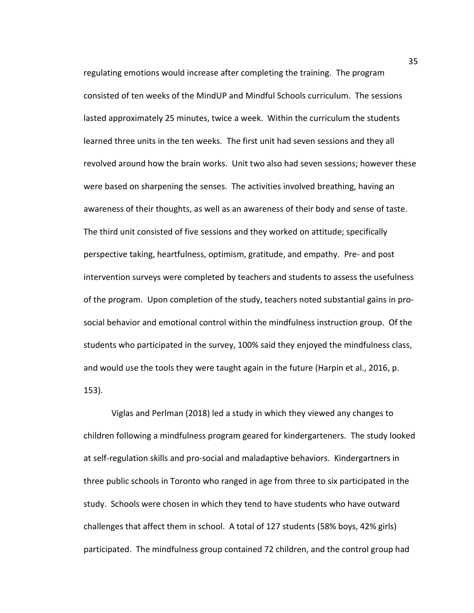regulating emotions would increase after completing the training. The program consisted of ten weeks of the MindUP and Mindful Schools curriculum. The sessions lasted approximately 25 minutes, twice a week. Within the curriculum the students learned three units in the ten weeks. The first unit had seven sessions and they all revolved around how the brain works. Unit two also had seven sessions; however these were based on sharpening the senses. The activities involved breathing, having an awareness of their thoughts, as well as an awareness of their body and sense of taste. The third unit consisted of five sessions and they worked on attitude; specifically perspective taking, heartfulness, optimism, gratitude, and empathy. Pre- and post intervention surveys were completed by teachers and students to assess the usefulness of the program. Upon completion of the study, teachers noted substantial gains in prosocial behavior and emotional control within the mindfulness instruction group. Of the students who participated in the survey, 100% said they enjoyed the mindfulness class, and would use the tools they were taught again in the future (Harpin et al., 2016, p. 153).

Viglas and Perlman (2018) led a study in which they viewed any changes to children following a mindfulness program geared for kindergarteners. The study looked at self-regulation skills and pro-social and maladaptive behaviors. Kindergartners in three public schools in Toronto who ranged in age from three to six participated in the study. Schools were chosen in which they tend to have students who have outward challenges that affect them in school. A total of 127 students (58% boys, 42% girls) participated. The mindfulness group contained 72 children, and the control group had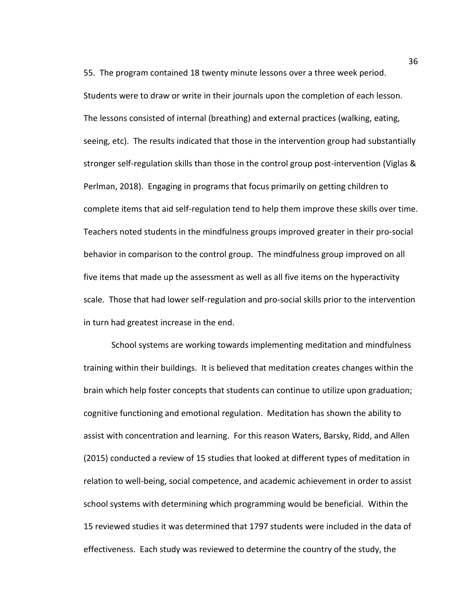55. The program contained 18 twenty minute lessons over a three week period. Students were to draw or write in their journals upon the completion of each lesson. The lessons consisted of internal (breathing) and external practices (walking, eating, seeing, etc). The results indicated that those in the intervention group had substantially stronger self-regulation skills than those in the control group post-intervention (Viglas & Perlman, 2018). Engaging in programs that focus primarily on getting children to complete items that aid self-regulation tend to help them improve these skills over time. Teachers noted students in the mindfulness groups improved greater in their pro-social behavior in comparison to the control group. The mindfulness group improved on all five items that made up the assessment as well as all five items on the hyperactivity scale. Those that had lower self-regulation and pro-social skills prior to the intervention in turn had greatest increase in the end.

School systems are working towards implementing meditation and mindfulness training within their buildings. It is believed that meditation creates changes within the brain which help foster concepts that students can continue to utilize upon graduation; cognitive functioning and emotional regulation. Meditation has shown the ability to assist with concentration and learning. For this reason Waters, Barsky, Ridd, and Allen (2015) conducted a review of 15 studies that looked at different types of meditation in relation to well-being, social competence, and academic achievement in order to assist school systems with determining which programming would be beneficial. Within the 15 reviewed studies it was determined that 1797 students were included in the data of effectiveness. Each study was reviewed to determine the country of the study, the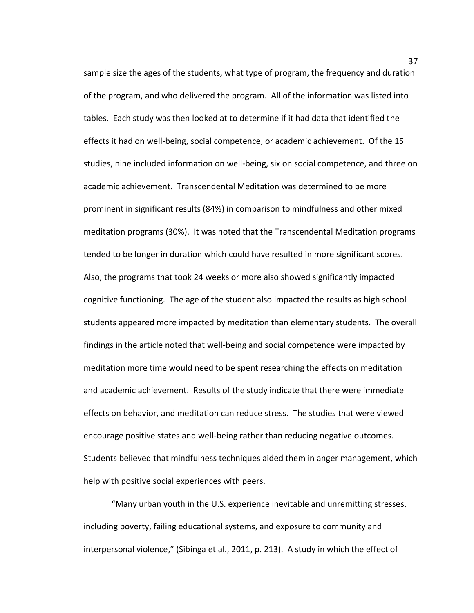sample size the ages of the students, what type of program, the frequency and duration of the program, and who delivered the program. All of the information was listed into tables. Each study was then looked at to determine if it had data that identified the effects it had on well-being, social competence, or academic achievement. Of the 15 studies, nine included information on well-being, six on social competence, and three on academic achievement. Transcendental Meditation was determined to be more prominent in significant results (84%) in comparison to mindfulness and other mixed meditation programs (30%). It was noted that the Transcendental Meditation programs tended to be longer in duration which could have resulted in more significant scores. Also, the programs that took 24 weeks or more also showed significantly impacted cognitive functioning. The age of the student also impacted the results as high school students appeared more impacted by meditation than elementary students. The overall findings in the article noted that well-being and social competence were impacted by meditation more time would need to be spent researching the effects on meditation and academic achievement. Results of the study indicate that there were immediate effects on behavior, and meditation can reduce stress. The studies that were viewed encourage positive states and well-being rather than reducing negative outcomes. Students believed that mindfulness techniques aided them in anger management, which help with positive social experiences with peers.

"Many urban youth in the U.S. experience inevitable and unremitting stresses, including poverty, failing educational systems, and exposure to community and interpersonal violence," (Sibinga et al., 2011, p. 213). A study in which the effect of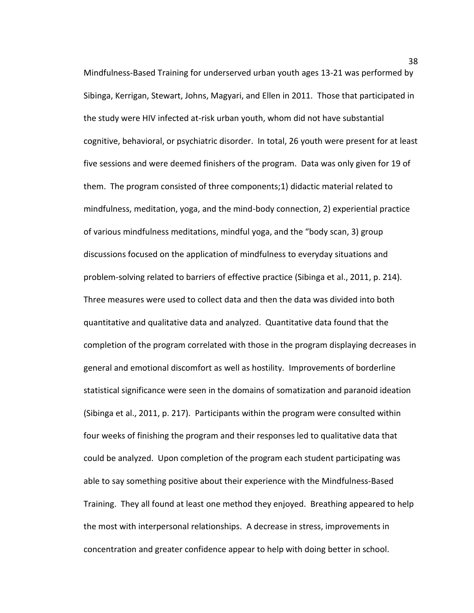Mindfulness-Based Training for underserved urban youth ages 13-21 was performed by Sibinga, Kerrigan, Stewart, Johns, Magyari, and Ellen in 2011. Those that participated in the study were HIV infected at-risk urban youth, whom did not have substantial cognitive, behavioral, or psychiatric disorder. In total, 26 youth were present for at least five sessions and were deemed finishers of the program. Data was only given for 19 of them. The program consisted of three components;1) didactic material related to mindfulness, meditation, yoga, and the mind-body connection, 2) experiential practice of various mindfulness meditations, mindful yoga, and the "body scan, 3) group discussions focused on the application of mindfulness to everyday situations and problem-solving related to barriers of effective practice (Sibinga et al., 2011, p. 214). Three measures were used to collect data and then the data was divided into both quantitative and qualitative data and analyzed. Quantitative data found that the completion of the program correlated with those in the program displaying decreases in general and emotional discomfort as well as hostility. Improvements of borderline statistical significance were seen in the domains of somatization and paranoid ideation (Sibinga et al., 2011, p. 217). Participants within the program were consulted within four weeks of finishing the program and their responses led to qualitative data that could be analyzed. Upon completion of the program each student participating was able to say something positive about their experience with the Mindfulness-Based Training. They all found at least one method they enjoyed. Breathing appeared to help the most with interpersonal relationships. A decrease in stress, improvements in concentration and greater confidence appear to help with doing better in school.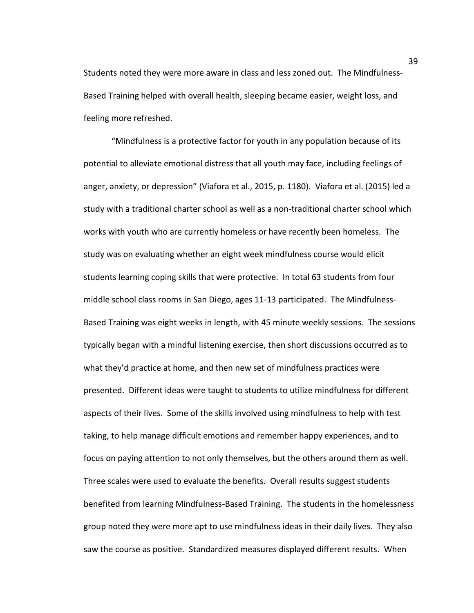Students noted they were more aware in class and less zoned out. The Mindfulness-Based Training helped with overall health, sleeping became easier, weight loss, and feeling more refreshed.

"Mindfulness is a protective factor for youth in any population because of its potential to alleviate emotional distress that all youth may face, including feelings of anger, anxiety, or depression" (Viafora et al., 2015, p. 1180). Viafora et al. (2015) led a study with a traditional charter school as well as a non-traditional charter school which works with youth who are currently homeless or have recently been homeless. The study was on evaluating whether an eight week mindfulness course would elicit students learning coping skills that were protective. In total 63 students from four middle school class rooms in San Diego, ages 11-13 participated. The Mindfulness-Based Training was eight weeks in length, with 45 minute weekly sessions. The sessions typically began with a mindful listening exercise, then short discussions occurred as to what they'd practice at home, and then new set of mindfulness practices were presented. Different ideas were taught to students to utilize mindfulness for different aspects of their lives. Some of the skills involved using mindfulness to help with test taking, to help manage difficult emotions and remember happy experiences, and to focus on paying attention to not only themselves, but the others around them as well. Three scales were used to evaluate the benefits. Overall results suggest students benefited from learning Mindfulness-Based Training. The students in the homelessness group noted they were more apt to use mindfulness ideas in their daily lives. They also saw the course as positive. Standardized measures displayed different results. When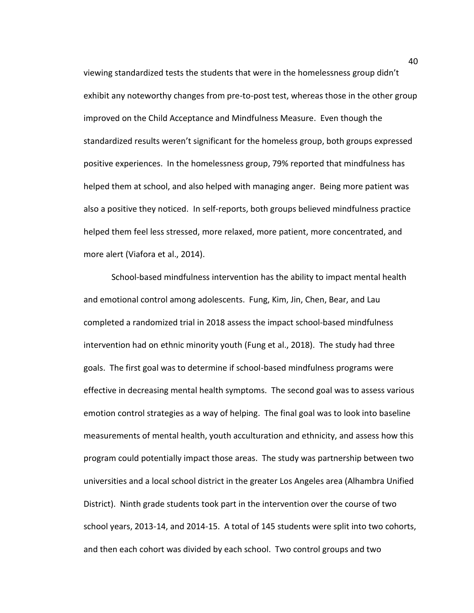viewing standardized tests the students that were in the homelessness group didn't exhibit any noteworthy changes from pre-to-post test, whereas those in the other group improved on the Child Acceptance and Mindfulness Measure. Even though the standardized results weren't significant for the homeless group, both groups expressed positive experiences. In the homelessness group, 79% reported that mindfulness has helped them at school, and also helped with managing anger. Being more patient was also a positive they noticed. In self-reports, both groups believed mindfulness practice helped them feel less stressed, more relaxed, more patient, more concentrated, and more alert (Viafora et al., 2014).

School-based mindfulness intervention has the ability to impact mental health and emotional control among adolescents. Fung, Kim, Jin, Chen, Bear, and Lau completed a randomized trial in 2018 assess the impact school-based mindfulness intervention had on ethnic minority youth (Fung et al., 2018). The study had three goals. The first goal was to determine if school-based mindfulness programs were effective in decreasing mental health symptoms. The second goal was to assess various emotion control strategies as a way of helping. The final goal was to look into baseline measurements of mental health, youth acculturation and ethnicity, and assess how this program could potentially impact those areas. The study was partnership between two universities and a local school district in the greater Los Angeles area (Alhambra Unified District). Ninth grade students took part in the intervention over the course of two school years, 2013-14, and 2014-15. A total of 145 students were split into two cohorts, and then each cohort was divided by each school. Two control groups and two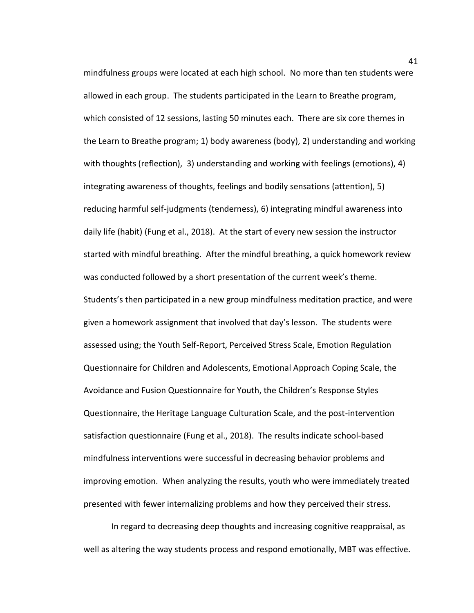mindfulness groups were located at each high school. No more than ten students were allowed in each group. The students participated in the Learn to Breathe program, which consisted of 12 sessions, lasting 50 minutes each. There are six core themes in the Learn to Breathe program; 1) body awareness (body), 2) understanding and working with thoughts (reflection), 3) understanding and working with feelings (emotions), 4) integrating awareness of thoughts, feelings and bodily sensations (attention), 5) reducing harmful self-judgments (tenderness), 6) integrating mindful awareness into daily life (habit) (Fung et al., 2018). At the start of every new session the instructor started with mindful breathing. After the mindful breathing, a quick homework review was conducted followed by a short presentation of the current week's theme. Students's then participated in a new group mindfulness meditation practice, and were given a homework assignment that involved that day's lesson. The students were assessed using; the Youth Self-Report, Perceived Stress Scale, Emotion Regulation Questionnaire for Children and Adolescents, Emotional Approach Coping Scale, the Avoidance and Fusion Questionnaire for Youth, the Children's Response Styles Questionnaire, the Heritage Language Culturation Scale, and the post-intervention satisfaction questionnaire (Fung et al., 2018). The results indicate school-based mindfulness interventions were successful in decreasing behavior problems and improving emotion. When analyzing the results, youth who were immediately treated presented with fewer internalizing problems and how they perceived their stress.

In regard to decreasing deep thoughts and increasing cognitive reappraisal, as well as altering the way students process and respond emotionally, MBT was effective.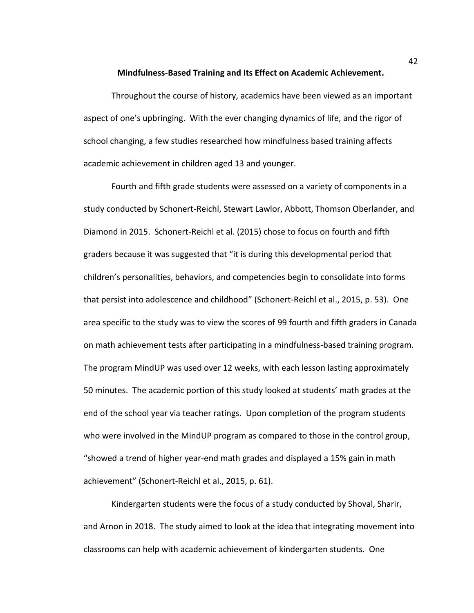**Mindfulness-Based Training and Its Effect on Academic Achievement.** 

 Throughout the course of history, academics have been viewed as an important aspect of one's upbringing. With the ever changing dynamics of life, and the rigor of school changing, a few studies researched how mindfulness based training affects academic achievement in children aged 13 and younger.

Fourth and fifth grade students were assessed on a variety of components in a study conducted by Schonert-Reichl, Stewart Lawlor, Abbott, Thomson Oberlander, and Diamond in 2015. Schonert-Reichl et al. (2015) chose to focus on fourth and fifth graders because it was suggested that "it is during this developmental period that children's personalities, behaviors, and competencies begin to consolidate into forms that persist into adolescence and childhood" (Schonert-Reichl et al., 2015, p. 53). One area specific to the study was to view the scores of 99 fourth and fifth graders in Canada on math achievement tests after participating in a mindfulness-based training program. The program MindUP was used over 12 weeks, with each lesson lasting approximately 50 minutes. The academic portion of this study looked at students' math grades at the end of the school year via teacher ratings. Upon completion of the program students who were involved in the MindUP program as compared to those in the control group, "showed a trend of higher year-end math grades and displayed a 15% gain in math achievement" (Schonert-Reichl et al., 2015, p. 61).

 Kindergarten students were the focus of a study conducted by Shoval, Sharir, and Arnon in 2018. The study aimed to look at the idea that integrating movement into classrooms can help with academic achievement of kindergarten students. One

42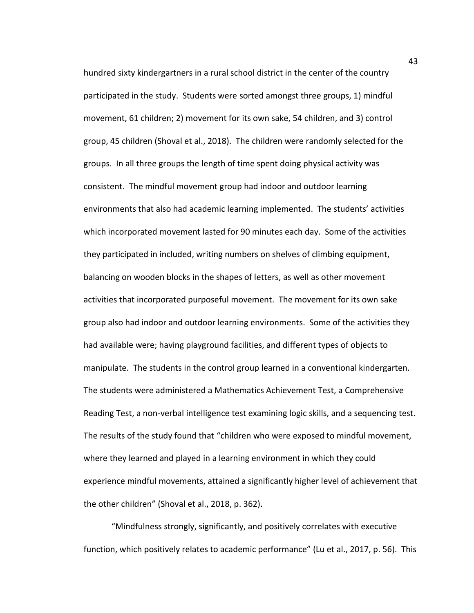hundred sixty kindergartners in a rural school district in the center of the country participated in the study. Students were sorted amongst three groups, 1) mindful movement, 61 children; 2) movement for its own sake, 54 children, and 3) control group, 45 children (Shoval et al., 2018). The children were randomly selected for the groups. In all three groups the length of time spent doing physical activity was consistent. The mindful movement group had indoor and outdoor learning environments that also had academic learning implemented. The students' activities which incorporated movement lasted for 90 minutes each day. Some of the activities they participated in included, writing numbers on shelves of climbing equipment, balancing on wooden blocks in the shapes of letters, as well as other movement activities that incorporated purposeful movement. The movement for its own sake group also had indoor and outdoor learning environments. Some of the activities they had available were; having playground facilities, and different types of objects to manipulate. The students in the control group learned in a conventional kindergarten. The students were administered a Mathematics Achievement Test, a Comprehensive Reading Test, a non-verbal intelligence test examining logic skills, and a sequencing test. The results of the study found that "children who were exposed to mindful movement, where they learned and played in a learning environment in which they could experience mindful movements, attained a significantly higher level of achievement that the other children" (Shoval et al., 2018, p. 362).

"Mindfulness strongly, significantly, and positively correlates with executive function, which positively relates to academic performance" (Lu et al., 2017, p. 56). This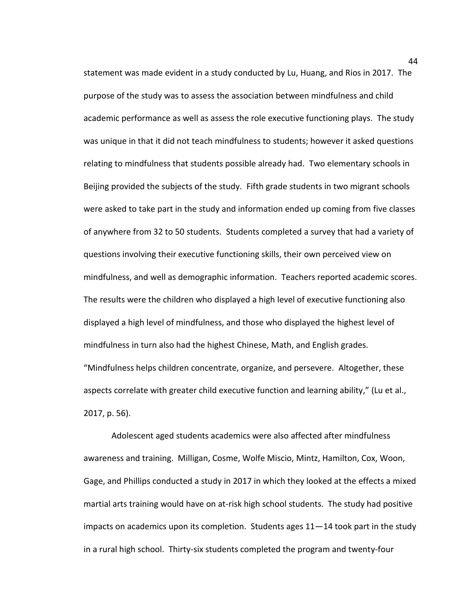statement was made evident in a study conducted by Lu, Huang, and Rios in 2017. The purpose of the study was to assess the association between mindfulness and child academic performance as well as assess the role executive functioning plays. The study was unique in that it did not teach mindfulness to students; however it asked questions relating to mindfulness that students possible already had. Two elementary schools in Beijing provided the subjects of the study. Fifth grade students in two migrant schools were asked to take part in the study and information ended up coming from five classes of anywhere from 32 to 50 students. Students completed a survey that had a variety of questions involving their executive functioning skills, their own perceived view on mindfulness, and well as demographic information. Teachers reported academic scores. The results were the children who displayed a high level of executive functioning also displayed a high level of mindfulness, and those who displayed the highest level of mindfulness in turn also had the highest Chinese, Math, and English grades. "Mindfulness helps children concentrate, organize, and persevere. Altogether, these aspects correlate with greater child executive function and learning ability," (Lu et al., 2017, p. 56).

 Adolescent aged students academics were also affected after mindfulness awareness and training. Milligan, Cosme, Wolfe Miscio, Mintz, Hamilton, Cox, Woon, Gage, and Phillips conducted a study in 2017 in which they looked at the effects a mixed martial arts training would have on at-risk high school students. The study had positive impacts on academics upon its completion. Students ages 11—14 took part in the study in a rural high school. Thirty-six students completed the program and twenty-four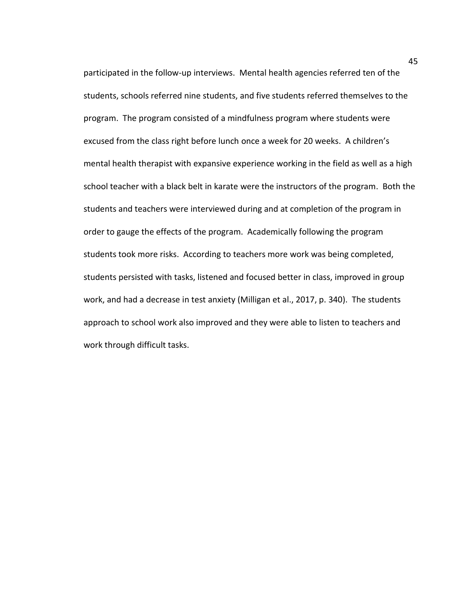participated in the follow-up interviews. Mental health agencies referred ten of the students, schools referred nine students, and five students referred themselves to the program. The program consisted of a mindfulness program where students were excused from the class right before lunch once a week for 20 weeks. A children's mental health therapist with expansive experience working in the field as well as a high school teacher with a black belt in karate were the instructors of the program. Both the students and teachers were interviewed during and at completion of the program in order to gauge the effects of the program. Academically following the program students took more risks. According to teachers more work was being completed, students persisted with tasks, listened and focused better in class, improved in group work, and had a decrease in test anxiety (Milligan et al., 2017, p. 340). The students approach to school work also improved and they were able to listen to teachers and work through difficult tasks.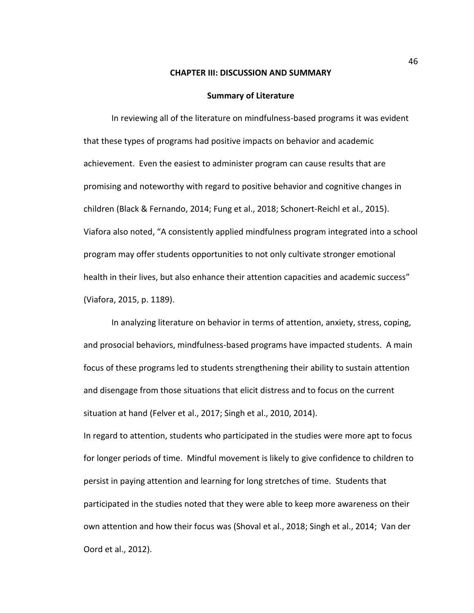#### **CHAPTER III: DISCUSSION AND SUMMARY**

#### **Summary of Literature**

In reviewing all of the literature on mindfulness-based programs it was evident that these types of programs had positive impacts on behavior and academic achievement. Even the easiest to administer program can cause results that are promising and noteworthy with regard to positive behavior and cognitive changes in children (Black & Fernando, 2014; Fung et al., 2018; Schonert-Reichl et al., 2015). Viafora also noted, "A consistently applied mindfulness program integrated into a school program may offer students opportunities to not only cultivate stronger emotional health in their lives, but also enhance their attention capacities and academic success" (Viafora, 2015, p. 1189).

In analyzing literature on behavior in terms of attention, anxiety, stress, coping, and prosocial behaviors, mindfulness-based programs have impacted students. A main focus of these programs led to students strengthening their ability to sustain attention and disengage from those situations that elicit distress and to focus on the current situation at hand (Felver et al., 2017; Singh et al., 2010, 2014).

In regard to attention, students who participated in the studies were more apt to focus for longer periods of time. Mindful movement is likely to give confidence to children to persist in paying attention and learning for long stretches of time. Students that participated in the studies noted that they were able to keep more awareness on their own attention and how their focus was (Shoval et al., 2018; Singh et al., 2014; Van der Oord et al., 2012).

46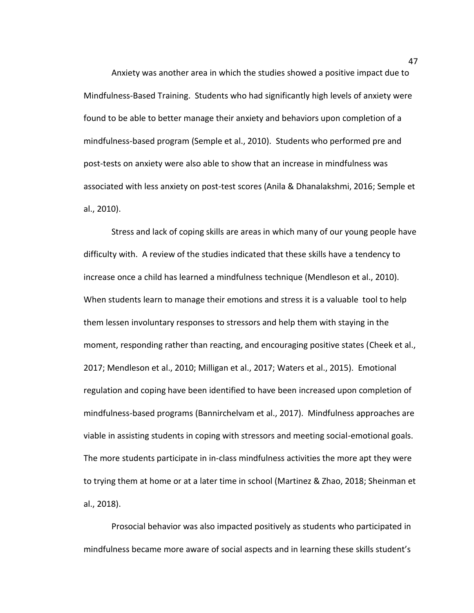Anxiety was another area in which the studies showed a positive impact due to Mindfulness-Based Training. Students who had significantly high levels of anxiety were found to be able to better manage their anxiety and behaviors upon completion of a mindfulness-based program (Semple et al., 2010). Students who performed pre and post-tests on anxiety were also able to show that an increase in mindfulness was associated with less anxiety on post-test scores (Anila & Dhanalakshmi, 2016; Semple et al., 2010).

Stress and lack of coping skills are areas in which many of our young people have difficulty with. A review of the studies indicated that these skills have a tendency to increase once a child has learned a mindfulness technique (Mendleson et al., 2010). When students learn to manage their emotions and stress it is a valuable tool to help them lessen involuntary responses to stressors and help them with staying in the moment, responding rather than reacting, and encouraging positive states (Cheek et al., 2017; Mendleson et al., 2010; Milligan et al., 2017; Waters et al., 2015). Emotional regulation and coping have been identified to have been increased upon completion of mindfulness-based programs (Bannirchelvam et al., 2017). Mindfulness approaches are viable in assisting students in coping with stressors and meeting social-emotional goals. The more students participate in in-class mindfulness activities the more apt they were to trying them at home or at a later time in school (Martinez & Zhao, 2018; Sheinman et al., 2018).

Prosocial behavior was also impacted positively as students who participated in mindfulness became more aware of social aspects and in learning these skills student's

47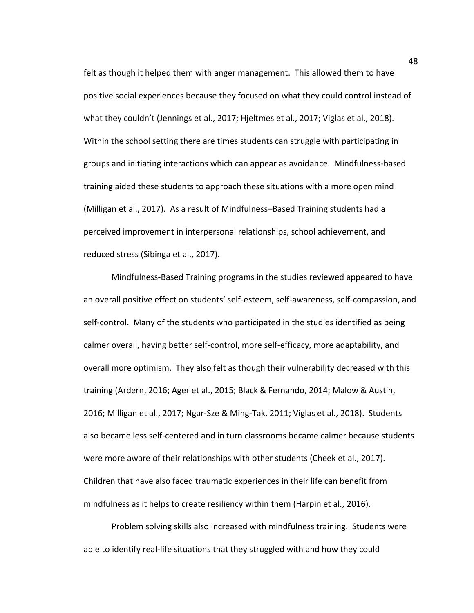felt as though it helped them with anger management. This allowed them to have positive social experiences because they focused on what they could control instead of what they couldn't (Jennings et al., 2017; Hjeltmes et al., 2017; Viglas et al., 2018). Within the school setting there are times students can struggle with participating in groups and initiating interactions which can appear as avoidance. Mindfulness-based training aided these students to approach these situations with a more open mind (Milligan et al., 2017). As a result of Mindfulness–Based Training students had a perceived improvement in interpersonal relationships, school achievement, and reduced stress (Sibinga et al., 2017).

Mindfulness-Based Training programs in the studies reviewed appeared to have an overall positive effect on students' self-esteem, self-awareness, self-compassion, and self-control. Many of the students who participated in the studies identified as being calmer overall, having better self-control, more self-efficacy, more adaptability, and overall more optimism. They also felt as though their vulnerability decreased with this training (Ardern, 2016; Ager et al., 2015; Black & Fernando, 2014; Malow & Austin, 2016; Milligan et al., 2017; Ngar-Sze & Ming-Tak, 2011; Viglas et al., 2018). Students also became less self-centered and in turn classrooms became calmer because students were more aware of their relationships with other students (Cheek et al., 2017). Children that have also faced traumatic experiences in their life can benefit from mindfulness as it helps to create resiliency within them (Harpin et al., 2016).

Problem solving skills also increased with mindfulness training. Students were able to identify real-life situations that they struggled with and how they could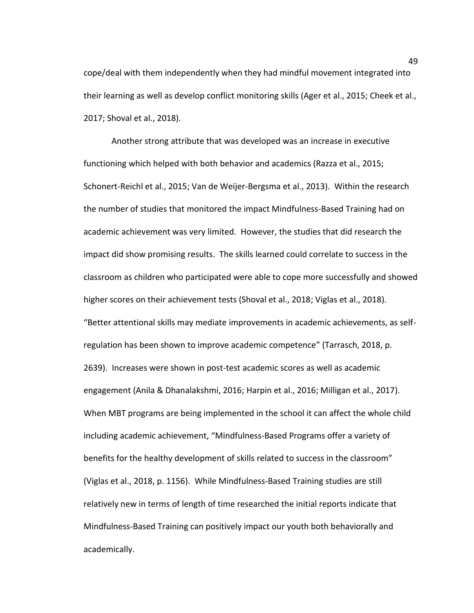cope/deal with them independently when they had mindful movement integrated into their learning as well as develop conflict monitoring skills (Ager et al., 2015; Cheek et al., 2017; Shoval et al., 2018).

Another strong attribute that was developed was an increase in executive functioning which helped with both behavior and academics (Razza et al., 2015; Schonert-Reichl et al., 2015; Van de Weijer-Bergsma et al., 2013). Within the research the number of studies that monitored the impact Mindfulness-Based Training had on academic achievement was very limited. However, the studies that did research the impact did show promising results. The skills learned could correlate to success in the classroom as children who participated were able to cope more successfully and showed higher scores on their achievement tests (Shoval et al., 2018; Viglas et al., 2018). "Better attentional skills may mediate improvements in academic achievements, as selfregulation has been shown to improve academic competence" (Tarrasch, 2018, p. 2639). Increases were shown in post-test academic scores as well as academic engagement (Anila & Dhanalakshmi, 2016; Harpin et al., 2016; Milligan et al., 2017). When MBT programs are being implemented in the school it can affect the whole child including academic achievement, "Mindfulness-Based Programs offer a variety of benefits for the healthy development of skills related to success in the classroom" (Viglas et al., 2018, p. 1156). While Mindfulness-Based Training studies are still relatively new in terms of length of time researched the initial reports indicate that Mindfulness-Based Training can positively impact our youth both behaviorally and academically.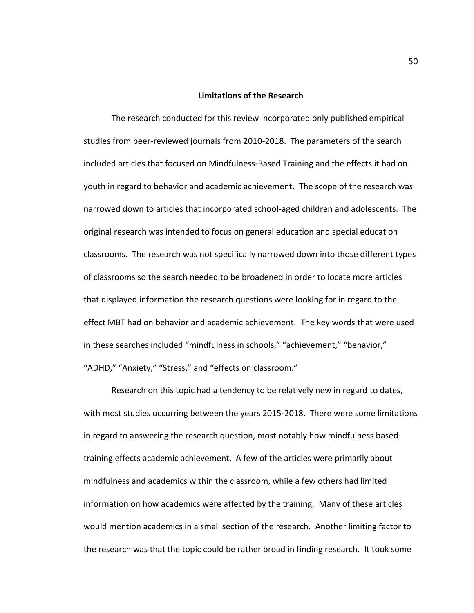#### **Limitations of the Research**

The research conducted for this review incorporated only published empirical studies from peer-reviewed journals from 2010-2018. The parameters of the search included articles that focused on Mindfulness-Based Training and the effects it had on youth in regard to behavior and academic achievement. The scope of the research was narrowed down to articles that incorporated school-aged children and adolescents. The original research was intended to focus on general education and special education classrooms. The research was not specifically narrowed down into those different types of classrooms so the search needed to be broadened in order to locate more articles that displayed information the research questions were looking for in regard to the effect MBT had on behavior and academic achievement. The key words that were used in these searches included "mindfulness in schools," "achievement," "behavior," "ADHD," "Anxiety," "Stress," and "effects on classroom."

Research on this topic had a tendency to be relatively new in regard to dates, with most studies occurring between the years 2015-2018. There were some limitations in regard to answering the research question, most notably how mindfulness based training effects academic achievement. A few of the articles were primarily about mindfulness and academics within the classroom, while a few others had limited information on how academics were affected by the training. Many of these articles would mention academics in a small section of the research. Another limiting factor to the research was that the topic could be rather broad in finding research. It took some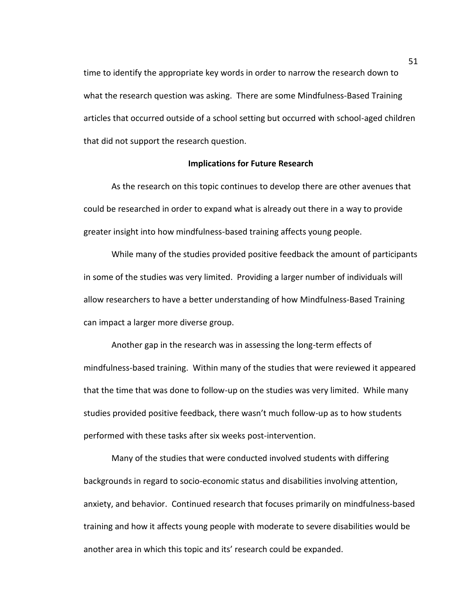time to identify the appropriate key words in order to narrow the research down to what the research question was asking. There are some Mindfulness-Based Training articles that occurred outside of a school setting but occurred with school-aged children that did not support the research question.

#### **Implications for Future Research**

 As the research on this topic continues to develop there are other avenues that could be researched in order to expand what is already out there in a way to provide greater insight into how mindfulness-based training affects young people.

While many of the studies provided positive feedback the amount of participants in some of the studies was very limited. Providing a larger number of individuals will allow researchers to have a better understanding of how Mindfulness-Based Training can impact a larger more diverse group.

Another gap in the research was in assessing the long-term effects of mindfulness-based training. Within many of the studies that were reviewed it appeared that the time that was done to follow-up on the studies was very limited. While many studies provided positive feedback, there wasn't much follow-up as to how students performed with these tasks after six weeks post-intervention.

Many of the studies that were conducted involved students with differing backgrounds in regard to socio-economic status and disabilities involving attention, anxiety, and behavior. Continued research that focuses primarily on mindfulness-based training and how it affects young people with moderate to severe disabilities would be another area in which this topic and its' research could be expanded.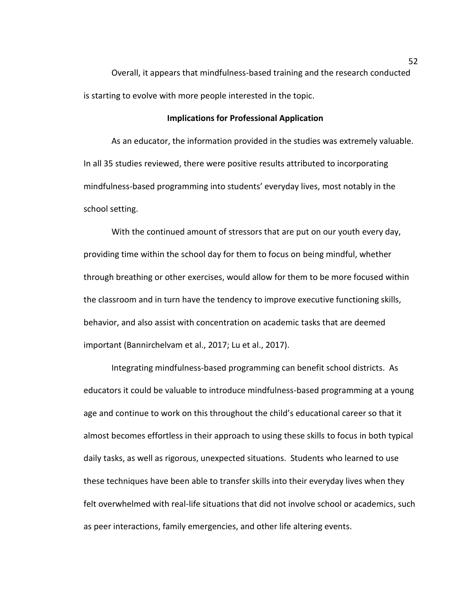Overall, it appears that mindfulness-based training and the research conducted is starting to evolve with more people interested in the topic.

#### **Implications for Professional Application**

 As an educator, the information provided in the studies was extremely valuable. In all 35 studies reviewed, there were positive results attributed to incorporating mindfulness-based programming into students' everyday lives, most notably in the school setting.

With the continued amount of stressors that are put on our youth every day, providing time within the school day for them to focus on being mindful, whether through breathing or other exercises, would allow for them to be more focused within the classroom and in turn have the tendency to improve executive functioning skills, behavior, and also assist with concentration on academic tasks that are deemed important (Bannirchelvam et al., 2017; Lu et al., 2017).

 Integrating mindfulness-based programming can benefit school districts. As educators it could be valuable to introduce mindfulness-based programming at a young age and continue to work on this throughout the child's educational career so that it almost becomes effortless in their approach to using these skills to focus in both typical daily tasks, as well as rigorous, unexpected situations. Students who learned to use these techniques have been able to transfer skills into their everyday lives when they felt overwhelmed with real-life situations that did not involve school or academics, such as peer interactions, family emergencies, and other life altering events.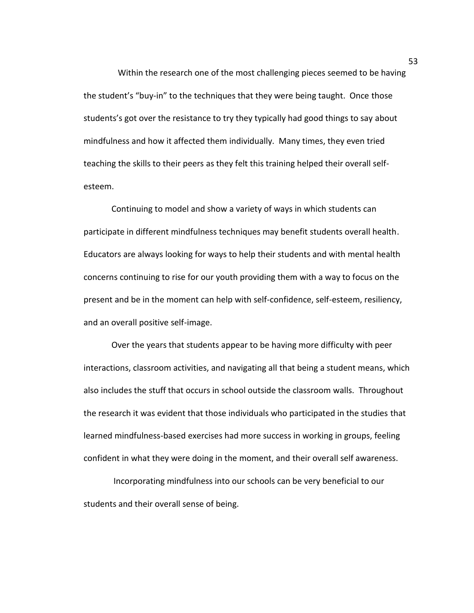Within the research one of the most challenging pieces seemed to be having the student's "buy-in" to the techniques that they were being taught. Once those students's got over the resistance to try they typically had good things to say about mindfulness and how it affected them individually. Many times, they even tried teaching the skills to their peers as they felt this training helped their overall selfesteem.

Continuing to model and show a variety of ways in which students can participate in different mindfulness techniques may benefit students overall health. Educators are always looking for ways to help their students and with mental health concerns continuing to rise for our youth providing them with a way to focus on the present and be in the moment can help with self-confidence, self-esteem, resiliency, and an overall positive self-image.

Over the years that students appear to be having more difficulty with peer interactions, classroom activities, and navigating all that being a student means, which also includes the stuff that occurs in school outside the classroom walls. Throughout the research it was evident that those individuals who participated in the studies that learned mindfulness-based exercises had more success in working in groups, feeling confident in what they were doing in the moment, and their overall self awareness.

 Incorporating mindfulness into our schools can be very beneficial to our students and their overall sense of being.

53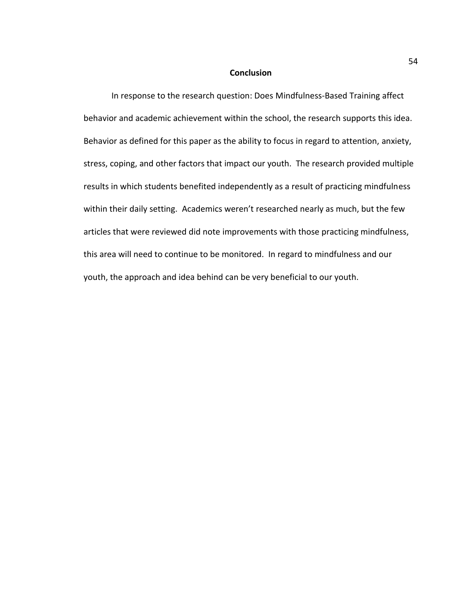#### **Conclusion**

 In response to the research question: Does Mindfulness-Based Training affect behavior and academic achievement within the school, the research supports this idea. Behavior as defined for this paper as the ability to focus in regard to attention, anxiety, stress, coping, and other factors that impact our youth. The research provided multiple results in which students benefited independently as a result of practicing mindfulness within their daily setting. Academics weren't researched nearly as much, but the few articles that were reviewed did note improvements with those practicing mindfulness, this area will need to continue to be monitored. In regard to mindfulness and our youth, the approach and idea behind can be very beneficial to our youth.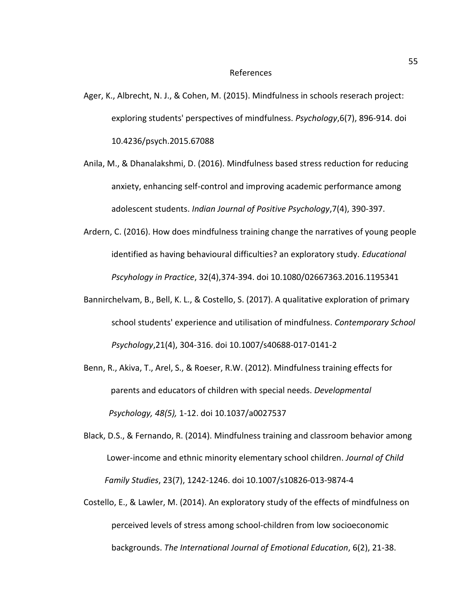#### References

- Ager, K., Albrecht, N. J., & Cohen, M. (2015). Mindfulness in schools reserach project: exploring students' perspectives of mindfulness. *Psychology*,6(7), 896-914. doi 10.4236/psych.2015.67088
- Anila, M., & Dhanalakshmi, D. (2016). Mindfulness based stress reduction for reducing anxiety, enhancing self-control and improving academic performance among adolescent students. *Indian Journal of Positive Psychology*,7(4), 390-397.
- Ardern, C. (2016). How does mindfulness training change the narratives of young people identified as having behavioural difficulties? an exploratory study. *Educational Pscyhology in Practice*, 32(4),374-394. doi 10.1080/02667363.2016.1195341
- Bannirchelvam, B., Bell, K. L., & Costello, S. (2017). A qualitative exploration of primary school students' experience and utilisation of mindfulness. *Contemporary School Psychology*,21(4), 304-316. doi 10.1007/s40688-017-0141-2
- Benn, R., Akiva, T., Arel, S., & Roeser, R.W. (2012). Mindfulness training effects for parents and educators of children with special needs. *Developmental Psychology, 48(5),* 1-12. doi 10.1037/a0027537
- Black, D.S., & Fernando, R. (2014). Mindfulness training and classroom behavior among Lower-income and ethnic minority elementary school children. *Journal of Child Family Studies*, 23(7), 1242-1246. doi 10.1007/s10826-013-9874-4
- Costello, E., & Lawler, M. (2014). An exploratory study of the effects of mindfulness on perceived levels of stress among school-children from low socioeconomic backgrounds. *The International Journal of Emotional Education*, 6(2), 21-38.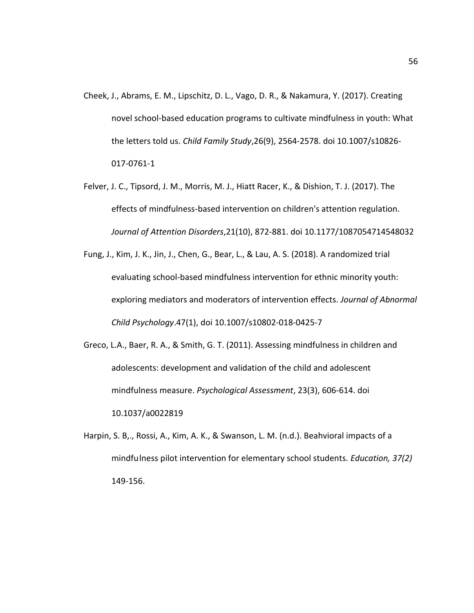- Cheek, J., Abrams, E. M., Lipschitz, D. L., Vago, D. R., & Nakamura, Y. (2017). Creating novel school-based education programs to cultivate mindfulness in youth: What the letters told us. *Child Family Study*,26(9), 2564-2578. doi 10.1007/s10826- 017-0761-1
- Felver, J. C., Tipsord, J. M., Morris, M. J., Hiatt Racer, K., & Dishion, T. J. (2017). The effects of mindfulness-based intervention on children's attention regulation. *Journal of Attention Disorders*,21(10), 872-881. doi 10.1177/1087054714548032
- Fung, J., Kim, J. K., Jin, J., Chen, G., Bear, L., & Lau, A. S. (2018). A randomized trial evaluating school-based mindfulness intervention for ethnic minority youth: exploring mediators and moderators of intervention effects. *Journal of Abnormal Child Psychology*.47(1), doi 10.1007/s10802-018-0425-7
- Greco, L.A., Baer, R. A., & Smith, G. T. (2011). Assessing mindfulness in children and adolescents: development and validation of the child and adolescent mindfulness measure. *Psychological Assessment*, 23(3), 606-614. doi 10.1037/a0022819
- Harpin, S. B,., Rossi, A., Kim, A. K., & Swanson, L. M. (n.d.). Beahvioral impacts of a mindfu lness pilot intervention for elementary school students. *Education, 37(2)*  149-156.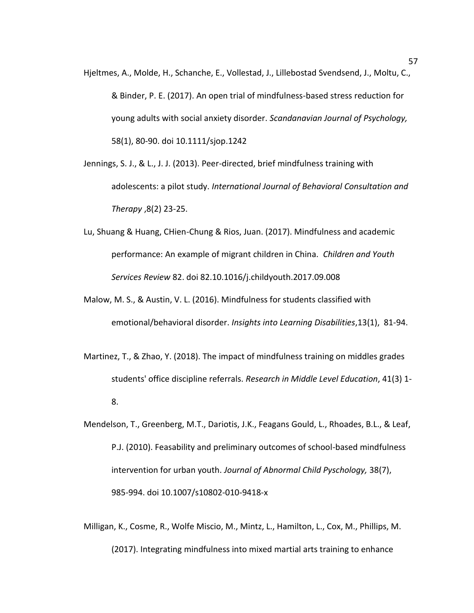- Hjeltmes, A., Molde, H., Schanche, E., Vollestad, J., Lillebostad Svendsend, J., Moltu, C., & Binder, P. E. (2017). An open trial of mindfulness-based stress reduction for young adults with social anxiety disorder. *Scandanavian Journal of Psychology,*  58(1), 80-90. doi 10.1111/sjop.1242
- Jennings, S. J., & L., J. J. (2013). Peer-directed, brief mindfulness training with adolescents: a pilot study. *International Journal of Behavioral Consultation and Therapy* ,8(2) 23-25.
- Lu, Shuang & Huang, CHien-Chung & Rios, Juan. (2017). Mindfulness and academic performance: An example of migrant children in China. *Children and Youth Services Review* 82. doi 82.10.1016/j.childyouth.2017.09.008
- Malow, M. S., & Austin, V. L. (2016). Mindfulness for students classified with emotional/behavioral disorder. *Insights into Learning Disabilities*,13(1), 81-94.
- Martinez, T., & Zhao, Y. (2018). The impact of mindfulness training on middles grades students' office discipline referrals. *Research in Middle Level Education*, 41(3) 1- 8.
- Mendelson, T., Greenberg, M.T., Dariotis, J.K., Feagans Gould, L., Rhoades, B.L., & Leaf, P.J. (2010). Feasability and preliminary outcomes of school-based mindfulness intervention for urban youth. *Journal of Abnormal Child Pyschology,* 38(7), 985-994. doi 10.1007/s10802-010-9418-x
- Milligan, K., Cosme, R., Wolfe Miscio, M., Mintz, L., Hamilton, L., Cox, M., Phillips, M. (2017). Integrating mindfulness into mixed martial arts training to enhance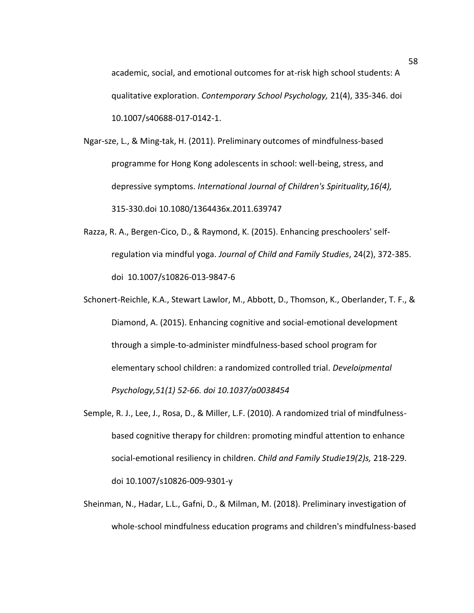academic, social, and emotional outcomes for at-risk high school students: A qualitative exploration. *Contemporary School Psychology,* 21(4), 335-346. doi 10.1007/s40688-017-0142-1.

- Ngar-sze, L., & Ming-tak, H. (2011). Preliminary outcomes of mindfulness-based programme for Hong Kong adolescents in school: well-being, stress, and depressive symptoms. *International Journal of Children's Spirituality,16(4),*  315-330.doi 10.1080/1364436x.2011.639747
- Razza, R. A., Bergen-Cico, D., & Raymond, K. (2015). Enhancing preschoolers' selfregulation via mindful yoga. *Journal of Child and Family Studies*, 24(2), 372-385. doi 10.1007/s10826-013-9847-6
- Schonert-Reichle, K.A., Stewart Lawlor, M., Abbott, D., Thomson, K., Oberlander, T. F., & Diamond, A. (2015). Enhancing cognitive and social-emotional development through a simple-to-administer mindfulness-based school program for elementary school children: a randomized controlled trial. *Develoipmental Psychology,51(1) 52-66. doi 10.1037/a0038454*
- Semple, R. J., Lee, J., Rosa, D., & Miller, L.F. (2010). A randomized trial of mindfulness based cognitive therapy for children: promoting mindful attention to enhance social-emotional resiliency in children. *Child and Family Studie19(2)s,* 218-229. doi 10.1007/s10826-009-9301-y
- Sheinman, N., Hadar, L.L., Gafni, D., & Milman, M. (2018). Preliminary investigation of whole-school mindfulness education programs and children's mindfulness-based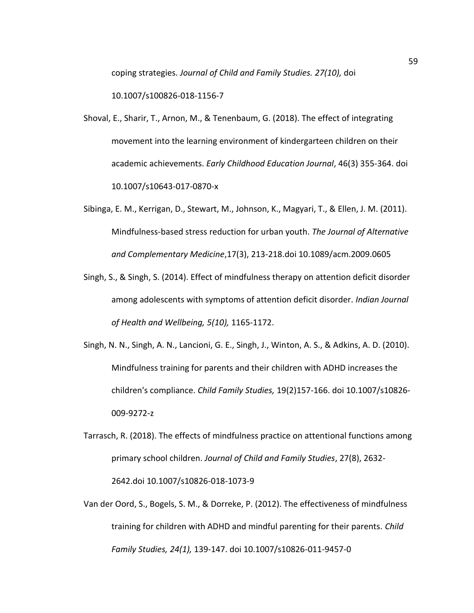coping strategies. *Journal of Child and Family Studies. 27(10),* doi

10.1007/s100826-018-1156-7

- Shoval, E., Sharir, T., Arnon, M., & Tenenbaum, G. (2018). The effect of integrating movement into the learning environment of kindergarteen children on their academic achievements. *Early Childhood Education Journal*, 46(3) 355-364. doi 10.1007/s10643-017-0870-x
- Sibinga, E. M., Kerrigan, D., Stewart, M., Johnson, K., Magyari, T., & Ellen, J. M. (2011). Mindfulness-based stress reduction for urban youth. *The Journal of Alternative and Complementary Medicine*,17(3), 213-218.doi 10.1089/acm.2009.0605
- Singh, S., & Singh, S. (2014). Effect of mindfulness therapy on attention deficit disorder among adolescents with symptoms of attention deficit disorder. *Indian Journal of Health and Wellbeing, 5(10),* 1165-1172.
- Singh, N. N., Singh, A. N., Lancioni, G. E., Singh, J., Winton, A. S., & Adkins, A. D. (2010). Mindfulness training for parents and their children with ADHD increases the children's compliance. *Child Family Studies,* 19(2)157-166. doi 10.1007/s10826- 009-9272-z
- Tarrasch, R. (2018). The effects of mindfulness practice on attentional functions among primary school children. *Journal of Child and Family Studies*, 27(8), 2632- 2642.doi 10.1007/s10826-018-1073-9
- Van der Oord, S., Bogels, S. M., & Dorreke, P. (2012). The effectiveness of mindfulness training for children with ADHD and mindful parenting for their parents. *Child Family Studies, 24(1),* 139-147. doi 10.1007/s10826-011-9457-0